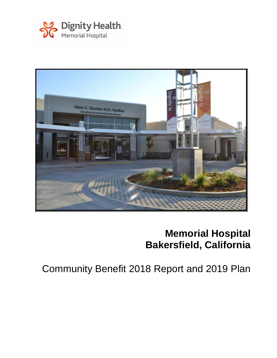



# **Memorial Hospital Bakersfield, California**

Community Benefit 2018 Report and 2019 Plan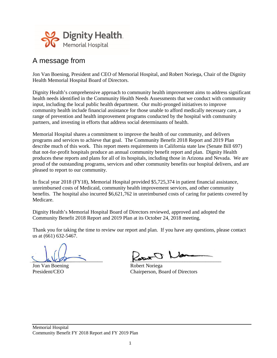

### A message from

Jon Van Boening, President and CEO of Memorial Hospital, and Robert Noriega, Chair of the Dignity Health Memorial Hospital Board of Directors.

Dignity Health's comprehensive approach to community health improvement aims to address significant health needs identified in the Community Health Needs Assessments that we conduct with community input, including the local public health department. Our multi-pronged initiatives to improve community health include financial assistance for those unable to afford medically necessary care, a range of prevention and health improvement programs conducted by the hospital with community partners, and investing in efforts that address social determinants of health.

Memorial Hospital shares a commitment to improve the health of our community, and delivers programs and services to achieve that goal. The Community Benefit 2018 Report and 2019 Plan describe much of this work. This report meets requirements in California state law (Senate Bill 697) that not-for-profit hospitals produce an annual community benefit report and plan. Dignity Health produces these reports and plans for all of its hospitals, including those in Arizona and Nevada. We are proud of the outstanding programs, services and other community benefits our hospital delivers, and are pleased to report to our community.

In fiscal year 2018 (FY18), Memorial Hospital provided \$5,725,374 in patient financial assistance, unreimbursed costs of Medicaid, community health improvement services, and other community benefits. The hospital also incurred \$6,621,762 in unreimbursed costs of caring for patients covered by Medicare.

Dignity Health's Memorial Hospital Board of Directors reviewed, approved and adopted the Community Benefit 2018 Report and 2019 Plan at its October 24, 2018 meeting.

Thank you for taking the time to review our report and plan. If you have any questions, please contact us at (661) 632-5467.

Jon Van Boening Robert Noriega

 $\frac{1}{2}$ 

President/CEO Chairperson, Board of Directors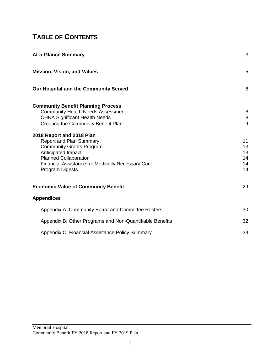# **TABLE OF CONTENTS**

| <b>At-a-Glance Summary</b>                                                                                                                                                                                                                                                                                                                                                                                  | 3                                               |
|-------------------------------------------------------------------------------------------------------------------------------------------------------------------------------------------------------------------------------------------------------------------------------------------------------------------------------------------------------------------------------------------------------------|-------------------------------------------------|
| <b>Mission, Vision, and Values</b>                                                                                                                                                                                                                                                                                                                                                                          | 5                                               |
| Our Hospital and the Community Served                                                                                                                                                                                                                                                                                                                                                                       | 6                                               |
| <b>Community Benefit Planning Process</b><br><b>Community Health Needs Assessment</b><br><b>CHNA Significant Health Needs</b><br>Creating the Community Benefit Plan<br>2018 Report and 2018 Plan<br><b>Report and Plan Summary</b><br><b>Community Grants Program</b><br>Anticipated Impact<br><b>Planned Collaboration</b><br><b>Financial Assistance for Medically Necessary Care</b><br>Program Digests | 8<br>8<br>9<br>11<br>13<br>13<br>14<br>14<br>14 |
| <b>Economic Value of Community Benefit</b>                                                                                                                                                                                                                                                                                                                                                                  | 29                                              |
| <b>Appendices</b>                                                                                                                                                                                                                                                                                                                                                                                           |                                                 |
| Appendix A: Community Board and Committee Rosters                                                                                                                                                                                                                                                                                                                                                           | 30                                              |
| Appendix B: Other Programs and Non-Quantifiable Benefits                                                                                                                                                                                                                                                                                                                                                    | 32                                              |
| Appendix C: Financial Assistance Policy Summary                                                                                                                                                                                                                                                                                                                                                             | 33                                              |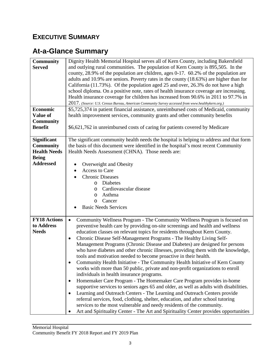# **EXECUTIVE SUMMARY**

# **At-a-Glance Summary**

| <b>Community</b><br><b>Served</b><br><b>Economic</b><br>Value of<br><b>Community</b><br><b>Benefit</b> | Dignity Health Memorial Hospital serves all of Kern County, including Bakersfield<br>and outlying rural communities. The population of Kern County is 895,505. In the<br>county, 28.9% of the population are children, ages 0-17. 60.2% of the population are<br>adults and 10.9% are seniors. Poverty rates in the county (18.63%) are higher than for<br>California (11.73%). Of the population aged 25 and over, 26.3% do not have a high<br>school diploma. On a positive note, rates of health insurance coverage are increasing.<br>Health insurance coverage for children has increased from 90.6% in 2011 to 97.7% in<br>2017. (Source: U.S. Census Bureau, American Community Survey accessed from www.healthykern.org.)<br>\$5,725,374 in patient financial assistance, unreimbursed costs of Medicaid, community<br>health improvement services, community grants and other community benefits<br>\$6,621,762 in unreimbursed costs of caring for patients covered by Medicare                                                                                                                                                                                                                                                                                                                               |
|--------------------------------------------------------------------------------------------------------|-------------------------------------------------------------------------------------------------------------------------------------------------------------------------------------------------------------------------------------------------------------------------------------------------------------------------------------------------------------------------------------------------------------------------------------------------------------------------------------------------------------------------------------------------------------------------------------------------------------------------------------------------------------------------------------------------------------------------------------------------------------------------------------------------------------------------------------------------------------------------------------------------------------------------------------------------------------------------------------------------------------------------------------------------------------------------------------------------------------------------------------------------------------------------------------------------------------------------------------------------------------------------------------------------------------------------|
|                                                                                                        |                                                                                                                                                                                                                                                                                                                                                                                                                                                                                                                                                                                                                                                                                                                                                                                                                                                                                                                                                                                                                                                                                                                                                                                                                                                                                                                         |
| <b>Significant</b><br><b>Community</b><br><b>Health Needs</b><br><b>Being</b>                          | The significant community health needs the hospital is helping to address and that form<br>the basis of this document were identified in the hospital's most recent Community<br>Health Needs Assessment (CHNA). Those needs are:                                                                                                                                                                                                                                                                                                                                                                                                                                                                                                                                                                                                                                                                                                                                                                                                                                                                                                                                                                                                                                                                                       |
| <b>Addressed</b>                                                                                       | Overweight and Obesity<br>Access to Care<br>$\bullet$<br><b>Chronic Diseases</b><br>Diabetes<br>O<br>Cardiovascular disease<br>O<br>Asthma<br>O<br>Cancer<br>$\circ$<br><b>Basic Needs Services</b>                                                                                                                                                                                                                                                                                                                                                                                                                                                                                                                                                                                                                                                                                                                                                                                                                                                                                                                                                                                                                                                                                                                     |
| <b>FY18 Actions</b><br>to Address<br><b>Needs</b>                                                      | Community Wellness Program - The Community Wellness Program is focused on<br>$\bullet$<br>preventive health care by providing on-site screenings and health and wellness<br>education classes on relevant topics for residents throughout Kern County.<br>Chronic Disease Self-Management Programs - The Healthy Living Self-<br>$\bullet$<br>Management Programs (Chronic Disease and Diabetes) are designed for persons<br>who have diabetes and other chronic illnesses, providing them with the knowledge,<br>tools and motivation needed to become proactive in their health.<br>Community Health Initiative - The Community Health Initiative of Kern County<br>works with more than 50 public, private and non-profit organizations to enroll<br>individuals in health insurance programs.<br>Homemaker Care Program - The Homemaker Care Program provides in-home<br>$\bullet$<br>supportive services to seniors ages 65 and older, as well as adults with disabilities.<br>Learning and Outreach Centers - The Learning and Outreach Centers provide<br>٠<br>referral services, food, clothing, shelter, education, and after school tutoring<br>services to the most vulnerable and needy residents of the community.<br>Art and Spirituality Center - The Art and Spirituality Center provides opportunities |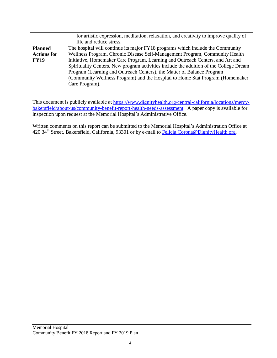|                    | for artistic expression, meditation, relaxation, and creativity to improve quality of  |
|--------------------|----------------------------------------------------------------------------------------|
|                    | life and reduce stress.                                                                |
| <b>Planned</b>     | The hospital will continue its major FY18 programs which include the Community         |
| <b>Actions for</b> | Wellness Program, Chronic Disease Self-Management Program, Community Health            |
| <b>FY19</b>        | Initiative, Homemaker Care Program, Learning and Outreach Centers, and Art and         |
|                    | Spirituality Centers. New program activities include the addition of the College Dream |
|                    | Program (Learning and Outreach Centers), the Matter of Balance Program                 |
|                    | (Community Wellness Program) and the Hospital to Home Stat Program (Homemaker          |
|                    | Care Program).                                                                         |

This document is publicly available at [https://www.dignityhealth.org/central-california/locations/mercy](https://www.dignityhealth.org/central-california/locations/mercy-bakersfield/about-us/community-benefit-report-health-needs-assessment)[bakersfield/about-us/community-benefit-report-health-needs-assessment.](https://www.dignityhealth.org/central-california/locations/mercy-bakersfield/about-us/community-benefit-report-health-needs-assessment) A paper copy is available for inspection upon request at the Memorial Hospital's Administrative Office.

Written comments on this report can be submitted to the Memorial Hospital's Administration Office at 420 34<sup>th</sup> Street, Bakersfield, California, 93301 or by e-mail to Felicia. Corona@DignityHealth.org.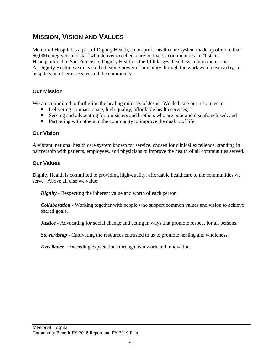### **MISSION, VISION AND VALUES**

Memorial Hospital is a part of Dignity Health, a non-profit health care system made up of more than 60,000 caregivers and staff who deliver excellent care to diverse communities in 21 states. Headquartered in San Francisco, Dignity Health is the fifth largest health system in the nation. At Dignity Health, we unleash the healing power of humanity through the work we do every day, in hospitals, in other care sites and the community.

#### **Our Mission**

We are committed to furthering the healing ministry of Jesus. We dedicate our resources to:

- Delivering compassionate, high-quality, affordable health services;
- Serving and advocating for our sisters and brothers who are poor and disenfranchised; and
- Partnering with others in the community to improve the quality of life.

#### **Our Vision**

A vibrant, national health care system known for service, chosen for clinical excellence, standing in partnership with patients, employees, and physicians to improve the health of all communities served.

#### **Our Values**

Dignity Health is committed to providing high-quality, affordable healthcare to the communities we serve. Above all else we value:

*Dignity* - Respecting the inherent value and worth of each person.

*Collaboration* - Working together with people who support common values and vision to achieve shared goals.

*Justice* - Advocating for social change and acting in ways that promote respect for all persons.

*Stewardship* - Cultivating the resources entrusted to us to promote healing and wholeness.

*Excellence* - Exceeding expectations through teamwork and innovation.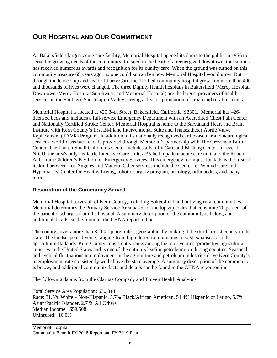### **OUR HOSPITAL AND OUR COMMITMENT**

As Bakersfield's largest acute care facility, Memorial Hospital opened its doors to the public in 1956 to serve the growing needs of the community. Located in the heart of a reenergized downtown, the campus has received numerous awards and recognition for its quality care. When the ground was turned on this community treasure 65 years ago, no one could know then how Memorial Hospital would grow. But through the leadership and heart of Larry Carr, the 112 bed community hospital grew into more than 400 and thousands of lives were changed. The three Dignity Health hospitals in Bakersfield (Mercy Hospital Downtown, Mercy Hospital Southwest, and Memorial Hospital) are the largest providers of health services in the Southern San Joaquin Valley serving a diverse population of urban and rural residents.

Memorial Hospital is located at 420 34th Street, Bakersfield, California, 93301. Memorial has 426 licensed beds and includes a full-service Emergency Department with an Accredited Chest Pain Center and Nationally Certified Stroke Center. Memorial Hospital is home to the Sarvanand Heart and Brain Institute with Kern County's first Bi-Plane Interventional Suite and Transcatheter Aortic Valve Replacement (TAVR) Program. In addition to its nationally recognized cardiovascular and neurological services, world-class burn care is provided through Memorial's partnership with The Grossman Burn Center. The Lauren Small Children's Center includes a Family Care and Birthing Center, a Level II NICU, the area's only Pediatric Intensive Care Unit, a 35-bed inpatient acute care unit, and the Robert A. Grimm Children's Pavilion for Emergency Services. This emergency room just-for-kids is the first of its kind between Los Angeles and Madera. Other services include the Center for Wound Care and Hyperbarics, Center for Healthy Living, robotic surgery program, oncology, orthopedics, and many more.

#### **Description of the Community Served**

Memorial Hospital serves all of Kern County, including Bakersfield and outlying rural communities. Memorial determines the Primary Service Area based on the top zip codes that constitute 70 percent of the patient discharges from the hospital. A summary description of the community is below, and additional details can be found in the CHNA report online.

The county covers more than 8,100 square miles, geographically making it the third largest county in the state. The landscape is diverse, ranging from high desert to mountains to vast expanses of rich agricultural flatlands. Kern County consistently ranks among the top five most productive agricultural counties in the United States and is one of the nation's leading petroleum-producing counties. Seasonal and cyclical fluctuations in employment in the agriculture and petroleum industries drive Kern County's unemployment rate consistently well above the state average. A summary description of the community is below, and additional community facts and details can be found in the CHNA report online.

The following data is from the Claritas Company and Truven Health Analytics:

Total Service Area Population: 630,314 Race: 31.5% White – Non-Hispanic, 5.7% Black/African American, 54.4% Hispanic or Latino, 5.7% Asian/Pacific Islander, 2.7 % All Others Median Income: \$59,508 Uninsured: 10.0%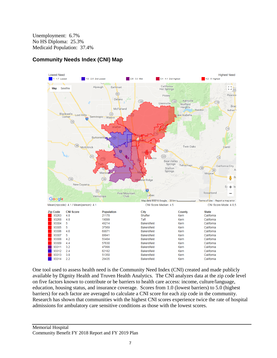Unemployment: 6.7% No HS Diploma: 25.3% Medicaid Population: 37.4%



### **Community Needs Index (CNI) Map**

One tool used to assess health need is the Community Need Index (CNI) created and made publicly available by Dignity Health and Truven Health Analytics. The CNI analyzes data at the zip code level on five factors known to contribute or be barriers to health care access: income, culture/language, education, housing status, and insurance coverage. Scores from 1.0 (lowest barriers) to 5.0 (highest barriers) for each factor are averaged to calculate a CNI score for each zip code in the community. Research has shown that communities with the highest CNI scores experience twice the rate of hospital admissions for ambulatory care sensitive conditions as those with the lowest scores.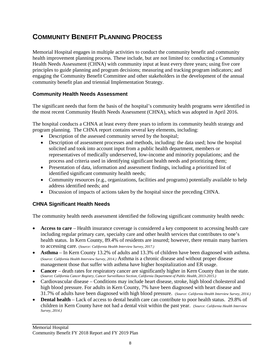# **COMMUNITY BENEFIT PLANNING PROCESS**

Memorial Hospital engages in multiple activities to conduct the community benefit and community health improvement planning process. These include, but are not limited to: conducting a Community Health Needs Assessment (CHNA) with community input at least every three years; using five core principles to guide planning and program decisions; measuring and tracking program indicators; and engaging the Community Benefit Committee and other stakeholders in the development of the annual community benefit plan and triennial Implementation Strategy.

#### **Community Health Needs Assessment**

The significant needs that form the basis of the hospital's community health programs were identified in the most recent Community Health Needs Assessment (CHNA), which was adopted in April 2016.

The hospital conducts a CHNA at least every three years to inform its community health strategy and program planning. The CHNA report contains several key elements, including:

- Description of the assessed community served by the hospital;
- Description of assessment processes and methods, including: the data used; how the hospital solicited and took into account input from a public health department, members or representatives of medically underserved, low-income and minority populations; and the process and criteria used in identifying significant health needs and prioritizing them;
- Presentation of data, information and assessment findings, including a prioritized list of identified significant community health needs;
- Community resources (e.g., organizations, facilities and programs) potentially available to help address identified needs; and
- Discussion of impacts of actions taken by the hospital since the preceding CHNA.

### **CHNA Significant Health Needs**

The community health needs assessment identified the following significant community health needs:

- **Access to care** Health insurance coverage is considered a key component to accessing health care including regular primary care, specialty care and other health services that contributes to one's health status. In Kern County, 89.4% of residents are insured; however, there remain many barriers to accessing care. (*Source: California Health Interview Survey, 2017.)*
- **Asthma** In Kern County 13.2% of adults and 13.3% of children have been diagnosed with asthma. (*Source: California Health Interview Survey, 2014.)* Asthma is a chronic disease and without proper disease management those that suffer with asthma have higher hospitalization and ER usage.
- **Cancer** death rates for respiratory cancer are significantly higher in Kern County than in the state. (*Source: California Cancer Registry, Cancer Surveillance Section, California Department of Public Health, 2013-2015.)*
- Cardiovascular disease Conditions may include heart disease, stroke, high blood cholesterol and high blood pressure. For adults in Kern County, 7% have been diagnosed with heart disease and 31.7% of adults have been diagnosed with high blood pressure. (*Source: California Health Interview Survey, 2014.)*
- **Dental health** Lack of access to dental health care can contribute to poor health status. 29.8% of children in Kern County have not had a dental visit within the past year. (*Source: California Health Interview Survey, 2014.)*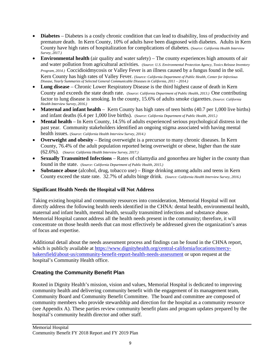- **Diabetes** Diabetes is a costly chronic condition that can lead to disability, loss of productivity and premature death. In Kern County, 10% of adults have been diagnosed with diabetes. Adults in Kern County have high rates of hospitalization for complications of diabetes. (*Source: California Health Interview Survey, 2017.)*
- **Environmental health** (air quality and water safety) The county experiences high amounts of air and water pollution from agricultural activities. (*Source: U.S. Environmental Protection Agency, Toxics Release Inventory Program, 2014.)* Coccidioidmycosis or Valley Fever is an illness caused by a fungus found in the soil. Kern County has high rates of Valley Fever. (*Source: California Department of Public Health, Center for Infectious Disease, Yearly Summaries of Selected General Communicable Diseases in California, 2011 – 2014.)*
- **Lung disease** Chronic Lower Respiratory Disease is the third highest cause of death in Kern County and exceeds the state death rate. (*Source: California Department of Public Health, 2013.)* One contributing factor to lung disease is smoking. In the county, 15.6% of adults smoke cigarettes. (*Source: California Health Interview Survey, 2016.)*
- **Maternal and infant health** Kern County has high rates of teen births (40.7 per 1,000 live births) and infant deaths (6.4 per 1,000 live births). (*Source: California Department of Public Health, 2015.)*
- **Mental health** In Kern County, 14.5% of adults experienced serious psychological distress in the past year. Community stakeholders identified an ongoing stigma associated with having mental health issues. (*Source: California Health Interview Survey, 2014.)*
- **Overweight and obesity** Being overweight is a precursor to many chronic diseases. In Kern County, 76.4% of the adult population reported being overweight or obese, higher than the state (62.6%). (*Source: California Health Interview Survey, 2017.)*
- **Sexually Transmitted Infections** Rates of chlamydia and gonorrhea are higher in the county than found in the state. (*Source: California Department of Public Health, 2015.)*
- **Substance abuse** (alcohol, drug, tobacco use) Binge drinking among adults and teens in Kern County exceed the state rate. 32.7% of adults binge drink. (*Source: California Health Interview Survey, 2016.)*

#### **Significant Health Needs the Hospital will Not Address**

Taking existing hospital and community resources into consideration, Memorial Hospital will not directly address the following health needs identified in the CHNA: dental health, environmental health, maternal and infant health, mental health, sexually transmitted infections and substance abuse. Memorial Hospital cannot address all the health needs present in the community; therefore, it will concentrate on those health needs that can most effectively be addressed given the organization's areas of focus and expertise.

Additional detail about the needs assessment process and findings can be found in the CHNA report, which is publicly available at [https://www.dignityhealth.org/central-california/locations/mercy](https://www.dignityhealth.org/central-california/locations/mercy-bakersfield/about-us/community-benefit-report-health-needs-assessment)[bakersfield/about-us/community-benefit-report-health-needs-assessment](https://www.dignityhealth.org/central-california/locations/mercy-bakersfield/about-us/community-benefit-report-health-needs-assessment) or upon request at the hospital's Community Health office.

#### **Creating the Community Benefit Plan**

Rooted in Dignity Health's mission, vision and values, Memorial Hospital is dedicated to improving community health and delivering community benefit with the engagement of its management team, Community Board and Community Benefit Committee. The board and committee are composed of community members who provide stewardship and direction for the hospital as a community resource (see Appendix A). These parties review community benefit plans and program updates prepared by the hospital's community health director and other staff.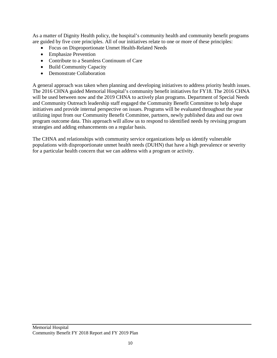As a matter of Dignity Health policy, the hospital's community health and community benefit programs are guided by five core principles. All of our initiatives relate to one or more of these principles:

- Focus on Disproportionate Unmet Health-Related Needs
- Emphasize Prevention
- Contribute to a Seamless Continuum of Care
- Build Community Capacity
- Demonstrate Collaboration

A general approach was taken when planning and developing initiatives to address priority health issues. The 2016 CHNA guided Memorial Hospital's community benefit initiatives for FY18. The 2016 CHNA will be used between now and the 2019 CHNA to actively plan programs. Department of Special Needs and Community Outreach leadership staff engaged the Community Benefit Committee to help shape initiatives and provide internal perspective on issues. Programs will be evaluated throughout the year utilizing input from our Community Benefit Committee, partners, newly published data and our own program outcome data. This approach will allow us to respond to identified needs by revising program strategies and adding enhancements on a regular basis.

The CHNA and relationships with community service organizations help us identify vulnerable populations with disproportionate unmet health needs (DUHN) that have a high prevalence or severity for a particular health concern that we can address with a program or activity.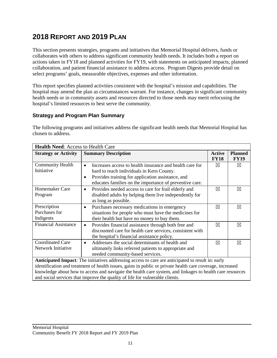# **2018 REPORT AND 2019 PLAN**

This section presents strategies, programs and initiatives that Memorial Hospital delivers, funds or collaborates with others to address significant community health needs. It includes both a report on actions taken in FY18 and planned activities for FY19, with statements on anticipated impacts, planned collaboration, and patient financial assistance to address access. Program Digests provide detail on select programs' goals, measurable objectives, expenses and other information.

This report specifies planned activities consistent with the hospital's mission and capabilities. The hospital may amend the plan as circumstances warrant. For instance, changes in significant community health needs or in community assets and resources directed to those needs may merit refocusing the hospital's limited resources to best serve the community.

#### **Strategy and Program Plan Summary**

The following programs and initiatives address the significant health needs that Memorial Hospital has chosen to address.

| <b>Health Need: Access to Health Care</b>                                                                 |                                                                       |               |                |
|-----------------------------------------------------------------------------------------------------------|-----------------------------------------------------------------------|---------------|----------------|
| <b>Strategy or Activity</b>                                                                               | <b>Summary Description</b>                                            | <b>Active</b> | <b>Planned</b> |
|                                                                                                           |                                                                       | <b>FY18</b>   | <b>FY19</b>    |
| <b>Community Health</b>                                                                                   | Increases access to health insurance and health care for<br>$\bullet$ | ⊠             | $\boxtimes$    |
| Initiative                                                                                                | hard to reach individuals in Kern County.                             |               |                |
|                                                                                                           | Provides training for application assistance, and<br>$\bullet$        |               |                |
|                                                                                                           | educates families on the importance of preventive care.               |               |                |
| <b>Homemaker Care</b>                                                                                     | Provides needed access to care for frail elderly and<br>$\bullet$     | ⊠             | ⊠              |
| Program                                                                                                   | disabled adults by helping them live independently for                |               |                |
|                                                                                                           | as long as possible.                                                  |               |                |
| Prescription                                                                                              | Purchases necessary medications in emergency<br>$\bullet$             | ⊠             | ⊠              |
| Purchases for                                                                                             | situations for people who must have the medicines for                 |               |                |
| Indigents                                                                                                 | their health but have no money to buy them.                           |               |                |
| <b>Financial Assistance</b>                                                                               | Provides financial assistance through both free and<br>$\bullet$      | ⊠             | ⊠              |
|                                                                                                           | discounted care for health care services, consistent with             |               |                |
|                                                                                                           | the hospital's financial assistance policy.                           |               |                |
| <b>Coordinated Care</b>                                                                                   | Addresses the social determinants of health and<br>$\bullet$          | $\boxtimes$   | $\boxtimes$    |
| Network Initiative                                                                                        | ultimately links referred patients to appropriate and                 |               |                |
|                                                                                                           | needed community-based services.                                      |               |                |
| Anticipated Impact: The initiatives addressing access to care are anticipated to result in: early         |                                                                       |               |                |
| identification and treatment of health issues, gains in public or private health care coverage, increased |                                                                       |               |                |
| knowledge about how to access and navigate the health care system, and linkages to health care resources  |                                                                       |               |                |
| and social services that improve the quality of life for vulnerable clients.                              |                                                                       |               |                |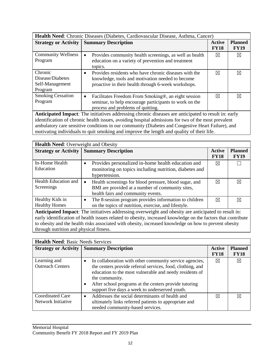| <b>Health Need:</b> Chronic Diseases (Diabetes, Cardiovascular Disease, Asthma, Cancer)                                                                                                                    |                                                                                                                                                                               |                       |                               |
|------------------------------------------------------------------------------------------------------------------------------------------------------------------------------------------------------------|-------------------------------------------------------------------------------------------------------------------------------------------------------------------------------|-----------------------|-------------------------------|
|                                                                                                                                                                                                            | <b>Strategy or Activity   Summary Description</b>                                                                                                                             | Active<br><b>FY18</b> | <b>Planned</b><br><b>FY19</b> |
| <b>Community Wellness</b><br>Program                                                                                                                                                                       | Provides community health screenings, as well as health<br>٠<br>education on a variety of prevention and treatment<br>topics.                                                 | ⊠                     | ⊠                             |
| Chronic<br>Disease/Diabetes<br>Self-Management<br>Program                                                                                                                                                  | Provides residents who have chronic diseases with the<br>$\bullet$<br>knowledge, tools and motivation needed to become<br>proactive in their health through 6-week workshops. | ⊠                     | ⊠                             |
| <b>Smoking Cessation</b><br>Program                                                                                                                                                                        | Facilitates Freedom From Smoking®, an eight session<br>$\bullet$<br>seminar, to help encourage participants to work on the<br>process and problems of quitting.               | $\boxtimes$           | ⊠                             |
| Anticipated Impact: The initiatives addressing chronic diseases are anticipated to result in: early<br>identification of chronic health issues, avoiding hospital admissions for two of the most prevalent |                                                                                                                                                                               |                       |                               |

ambulatory care sensitive conditions in our community (Diabetes and Congestive Heart Failure), and motivating individuals to quit smoking and improve the length and quality of their life.

| <b>Health Need:</b> Overweight and Obesity                                                          |                                                                     |                       |                               |
|-----------------------------------------------------------------------------------------------------|---------------------------------------------------------------------|-----------------------|-------------------------------|
|                                                                                                     | <b>Strategy or Activity   Summary Description</b>                   | Active<br><b>FY18</b> | <b>Planned</b><br><b>FY19</b> |
| In-Home Health                                                                                      | Provides personalized in-home health education and<br>$\bullet$     | ⊠                     |                               |
| Education                                                                                           | monitoring on topics including nutrition, diabetes and              |                       |                               |
|                                                                                                     | hypertension.                                                       |                       |                               |
| Health Education and                                                                                | Health screenings for blood pressure, blood sugar, and<br>$\bullet$ | ⊠                     | ⋉                             |
| Screenings                                                                                          | BMI are provided at a number of community sites,                    |                       |                               |
|                                                                                                     | health fairs and community events.                                  |                       |                               |
| Healthy Kids in                                                                                     | The 8-session program provides information to children<br>$\bullet$ | ⊠                     | X                             |
| <b>Healthy Homes</b>                                                                                | on the topics of nutrition, exercise, and lifestyle.                |                       |                               |
| Anticinated Imnact: The initiatives addressing overweight and obesity are anticinated to result in: |                                                                     |                       |                               |

**Anticipated Impact**: The initiatives addressing overweight and obesity are anticipated to result in: early identification of health issues related to obesity, increased knowledge on the factors that contribute to obesity and the health risks associated with obesity, increased knowledge on how to prevent obesity through nutrition and physical fitness.

| <b>Health Need: Basic Needs Services</b>      |                                                                                                                                                                                                                                                                                                                                         |                              |                               |
|-----------------------------------------------|-----------------------------------------------------------------------------------------------------------------------------------------------------------------------------------------------------------------------------------------------------------------------------------------------------------------------------------------|------------------------------|-------------------------------|
|                                               | <b>Strategy or Activity   Summary Description</b>                                                                                                                                                                                                                                                                                       | <b>Active</b><br><b>FY18</b> | <b>Planned</b><br><b>FY18</b> |
| Learning and<br><b>Outreach Centers</b>       | In collaboration with other community service agencies,<br>$\bullet$<br>the centers provide referral services, food, clothing, and<br>education to the most vulnerable and needy residents of<br>the community.<br>After school programs at the centers provide tutoring<br>$\bullet$<br>support five days a week to underserved youth. | $\boxtimes$                  | ⊠                             |
| <b>Coordinated Care</b><br>Network Initiative | Addresses the social determinants of health and<br>$\bullet$<br>ultimately links referred patients to appropriate and<br>needed community-based services.                                                                                                                                                                               | $\bowtie$                    | ⊠                             |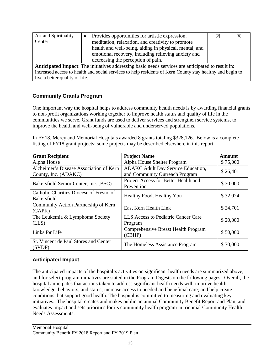| Art and Spirituality           | Provides opportunities for artistic expression,                                                           | ⊠ | $\boxtimes$ |
|--------------------------------|-----------------------------------------------------------------------------------------------------------|---|-------------|
| Center                         | meditation, relaxation, and creativity to promote                                                         |   |             |
|                                | health and well-being, aiding in physical, mental, and                                                    |   |             |
|                                | emotional recovery, including relieving anxiety and                                                       |   |             |
|                                | decreasing the perception of pain.                                                                        |   |             |
|                                | <b>Anticipated Impact:</b> The initiatives addressing basic needs services are anticipated to result in:  |   |             |
|                                | increased access to health and social services to help residents of Kern County stay healthy and begin to |   |             |
| live a better quality of life. |                                                                                                           |   |             |

### **Community Grants Program**

One important way the hospital helps to address community health needs is by awarding financial grants to non-profit organizations working together to improve health status and quality of life in the communities we serve. Grant funds are used to deliver services and strengthen service systems, to improve the health and well-being of vulnerable and underserved populations.

In FY18, Mercy and Memorial Hospitals awarded 8 grants totaling \$328,126. Below is a complete listing of FY18 grant projects; some projects may be described elsewhere in this report.

| <b>Grant Recipient</b>                                          | <b>Project Name</b>                                                         | <b>Amount</b> |
|-----------------------------------------------------------------|-----------------------------------------------------------------------------|---------------|
| Alpha House                                                     | Alpha House Shelter Program                                                 | \$75,000      |
| Alzheimer's Disease Association of Kern<br>County, Inc. (ADAKC) | <b>ADAKC Adult Day Service Education,</b><br>and Community Outreach Program | \$26,401      |
| Bakersfield Senior Center, Inc. (BSC)                           | Project Access for Better Health and<br>Prevention                          | \$30,000      |
| Catholic Charities Diocese of Fresno of<br><b>Bakersfield</b>   | Healthy Food, Healthy You                                                   | \$32,024      |
| Community Action Partnership of Kern<br>(CAPK)                  | East Kern Health Link                                                       | \$24,701      |
| The Leukemia & Lymphoma Society<br>(LLS)                        | LLS Access to Pediatric Cancer Care<br>Program                              | \$20,000      |
| Links for Life                                                  | Comprehensive Breast Health Program<br>(CBHP)                               | \$50,000      |
| St. Vincent de Paul Stores and Center<br>(SVDP)                 | The Homeless Assistance Program                                             | \$70,000      |

#### **Anticipated Impact**

The anticipated impacts of the hospital's activities on significant health needs are summarized above, and for select program initiatives are stated in the Program Digests on the following pages. Overall, the hospital anticipates that actions taken to address significant health needs will: improve health knowledge, behaviors, and status; increase access to needed and beneficial care; and help create conditions that support good health. The hospital is committed to measuring and evaluating key initiatives. The hospital creates and makes public an annual Community Benefit Report and Plan, and evaluates impact and sets priorities for its community health program in triennial Community Health Needs Assessments.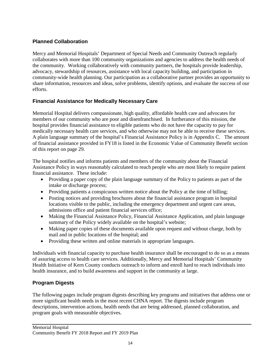#### **Planned Collaboration**

Mercy and Memorial Hospitals' Department of Special Needs and Community Outreach regularly collaborates with more than 100 community organizations and agencies to address the health needs of the community. Working collaboratively with community partners, the hospitals provide leadership, advocacy, stewardship of resources, assistance with local capacity building, and participation in community-wide health planning. Our participation as a collaborative partner provides an opportunity to share information, resources and ideas, solve problems, identify options, and evaluate the success of our efforts.

#### **Financial Assistance for Medically Necessary Care**

Memorial Hospital delivers compassionate, high quality, affordable health care and advocates for members of our community who are poor and disenfranchised. In furtherance of this mission, the hospital provides financial assistance to eligible patients who do not have the capacity to pay for medically necessary health care services, and who otherwise may not be able to receive these services. A plain language summary of the hospital's Financial Assistance Policy is in Appendix C. The amount of financial assistance provided in FY18 is listed in the Economic Value of Community Benefit section of this report on page 29.

The hospital notifies and informs patients and members of the community about the Financial Assistance Policy in ways reasonably calculated to reach people who are most likely to require patient financial assistance. These include:

- Providing a paper copy of the plain language summary of the Policy to patients as part of the intake or discharge process;
- Providing patients a conspicuous written notice about the Policy at the time of billing;
- Posting notices and providing brochures about the financial assistance program in hospital locations visible to the public, including the emergency department and urgent care areas, admissions office and patient financial services office;
- Making the Financial Assistance Policy, Financial Assistance Application, and plain language summary of the Policy widely available on the hospital's website;
- Making paper copies of these documents available upon request and without charge, both by mail and in public locations of the hospital; and
- Providing these written and online materials in appropriate languages.

Individuals with financial capacity to purchase health insurance shall be encouraged to do so as a means of assuring access to health care services. Additionally, Mercy and Memorial Hospitals' Community Health Initiative of Kern County conducts outreach to inform and enroll hard to reach individuals into health insurance, and to build awareness and support in the community at large.

### **Program Digests**

The following pages include program digests describing key programs and initiatives that address one or more significant health needs in the most recent CHNA report. The digests include program descriptions, intervention actions, health needs that are being addressed, planned collaboration, and program goals with measurable objectives.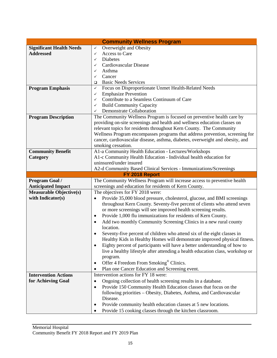|                                 | <b>Community Wellness Program</b>                                                                                         |
|---------------------------------|---------------------------------------------------------------------------------------------------------------------------|
| <b>Significant Health Needs</b> | Overweight and Obesity<br>$\checkmark$                                                                                    |
| <b>Addressed</b>                | Access to Care<br>$\checkmark$                                                                                            |
|                                 | Diabetes<br>✓                                                                                                             |
|                                 | Cardiovascular Disease<br>✓                                                                                               |
|                                 | Asthma<br>✓                                                                                                               |
|                                 | Cancer<br>✓                                                                                                               |
|                                 | <b>Basic Needs Services</b><br>□                                                                                          |
| <b>Program Emphasis</b>         | Focus on Disproportionate Unmet Health-Related Needs<br>$\checkmark$                                                      |
|                                 | <b>Emphasize Prevention</b><br>✓                                                                                          |
|                                 | Contribute to a Seamless Continuum of Care<br>✓                                                                           |
|                                 | <b>Build Community Capacity</b><br>✓                                                                                      |
|                                 | Demonstrate Collaboration<br>✓                                                                                            |
| <b>Program Description</b>      | The Community Wellness Program is focused on preventive health care by                                                    |
|                                 | providing on-site screenings and health and wellness education classes on                                                 |
|                                 | relevant topics for residents throughout Kern County. The Community                                                       |
|                                 | Wellness Program encompasses programs that address prevention, screening for                                              |
|                                 | cancer, cardiovascular disease, asthma, diabetes, overweight and obesity, and<br>smoking cessation.                       |
|                                 |                                                                                                                           |
| <b>Community Benefit</b>        | A1-a Community Health Education - Lectures/Workshops<br>A1-c Community Health Education - Individual health education for |
| Category                        | uninsured/under insured                                                                                                   |
|                                 | A2-d Community Based Clinical Services - Immunizations/Screenings                                                         |
|                                 | FY 2018 Report                                                                                                            |
|                                 |                                                                                                                           |
|                                 |                                                                                                                           |
| Program Goal /                  | The Community Wellness Program will increase access to preventive health                                                  |
| <b>Anticipated Impact</b>       | screenings and education for residents of Kern County.                                                                    |
| <b>Measurable Objective(s)</b>  | The objectives for FY 2018 were:<br>$\bullet$                                                                             |
| with Indicator(s)               | Provide 35,000 blood pressure, cholesterol, glucose, and BMI screenings                                                   |
|                                 | throughout Kern County. Seventy-five percent of clients who attend seven                                                  |
|                                 | or more screenings will see improved health screening results.<br>$\bullet$                                               |
|                                 | Provide 1,000 flu immunizations for residents of Kern County.                                                             |
|                                 | Add two monthly Community Screening Clinics in a new rural county<br>٠                                                    |
|                                 | location.                                                                                                                 |
|                                 | Seventy-five percent of children who attend six of the eight classes in                                                   |
|                                 | Healthy Kids in Healthy Homes will demonstrate improved physical fitness.                                                 |
|                                 | Eighty percent of participants will have a better understanding of how to<br>٠                                            |
|                                 | live a healthy lifestyle after attending a health education class, workshop or                                            |
|                                 | program.                                                                                                                  |
|                                 | Offer 4 Freedom From Smoking <sup>®</sup> Clinics.<br>$\bullet$                                                           |
|                                 | Plan one Cancer Education and Screening event.                                                                            |
| <b>Intervention Actions</b>     | Intervention actions for FY 18 were:                                                                                      |
| for Achieving Goal              | Ongoing collection of health screening results in a database.<br>$\bullet$                                                |
|                                 | Provide 150 Community Health Education classes that focus on the<br>$\bullet$                                             |
|                                 | following priorities - Obesity, Diabetes, Asthma, and Cardiovascular                                                      |
|                                 | Disease.<br>Provide community health education classes at 5 new locations.<br>$\bullet$                                   |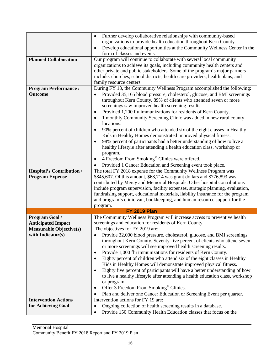|                                  | Further develop collaborative relationships with community-based<br>$\bullet$            |
|----------------------------------|------------------------------------------------------------------------------------------|
|                                  | organizations to provide health education throughout Kern County.                        |
|                                  | Develop educational opportunities at the Community Wellness Center in the<br>$\bullet$   |
|                                  | form of classes and events.                                                              |
| <b>Planned Collaboration</b>     | Our program will continue to collaborate with several local community                    |
|                                  | organizations to achieve its goals, including community health centers and               |
|                                  | other private and public stakeholders. Some of the program's major partners              |
|                                  | include: churches, school districts, health care providers, health plans, and            |
|                                  | family resource centers.                                                                 |
| <b>Program Performance /</b>     | During FY 18, the Community Wellness Program accomplished the following:                 |
| Outcome                          | Provided 35,165 blood pressure, cholesterol, glucose, and BMI screenings                 |
|                                  | throughout Kern County. 89% of clients who attended seven or more                        |
|                                  | screenings saw improved health screening results.                                        |
|                                  | Provided 1,200 flu immunizations for residents of Kern County.<br>$\bullet$              |
|                                  | 1 monthly Community Screening Clinic was added in new rural county<br>$\bullet$          |
|                                  | locations.                                                                               |
|                                  |                                                                                          |
|                                  | 90% percent of children who attended six of the eight classes in Healthy<br>$\bullet$    |
|                                  | Kids in Healthy Homes demonstrated improved physical fitness.                            |
|                                  | 98% percent of participants had a better understanding of how to live a<br>$\bullet$     |
|                                  | healthy lifestyle after attending a health education class, workshop or                  |
|                                  | program.                                                                                 |
|                                  | 4 Freedom From Smoking® Clinics were offered.<br>٠                                       |
|                                  | Provided 1 Cancer Education and Screening event took place.                              |
| <b>Hospital's Contribution /</b> | The total FY 2018 expense for the Community Wellness Program was                         |
| <b>Program Expense</b>           | \$845,607. Of this amount, \$68,714 was grant dollars and \$776,893 was                  |
|                                  | contributed by Mercy and Memorial Hospitals. Other hospital contributions                |
|                                  | include program supervision, facility expenses, strategic planning, evaluation,          |
|                                  | fundraising support, educational materials, liability insurance for the program          |
|                                  | and program's clinic van, bookkeeping, and human resource support for the                |
|                                  | program.                                                                                 |
|                                  | <b>FY 2019 Plan</b>                                                                      |
| <b>Program Goal /</b>            | The Community Wellness Program will increase access to preventive health                 |
| <b>Anticipated Impact</b>        | screenings and education for residents of Kern County.                                   |
| <b>Measurable Objective(s)</b>   | The objectives for FY 2019 are:                                                          |
| with Indicator(s)                | Provide 32,000 blood pressure, cholesterol, glucose, and BMI screenings                  |
|                                  | throughout Kern County. Seventy-five percent of clients who attend seven                 |
|                                  | or more screenings will see improved health screening results.                           |
|                                  | Provide 1,000 flu immunizations for residents of Kern County.<br>٠                       |
|                                  | Eighty percent of children who attend six of the eight classes in Healthy<br>$\bullet$   |
|                                  | Kids in Healthy Homes will demonstrate improved physical fitness.                        |
|                                  | Eighty five percent of participants will have a better understanding of how<br>$\bullet$ |
|                                  | to live a healthy lifestyle after attending a health education class, workshop           |
|                                  | or program.                                                                              |
|                                  | Offer 3 Freedom From Smoking <sup>®</sup> Clinics.<br>٠                                  |
|                                  | Plan and deliver one Cancer Education or Screening Event per quarter.                    |
|                                  | ٠<br>Intervention actions for FY 19 are:                                                 |
| <b>Intervention Actions</b>      |                                                                                          |
| for Achieving Goal               | Ongoing collection of health screening results in a database.<br>٠                       |
|                                  | Provide 150 Community Health Education classes that focus on the<br>$\bullet$            |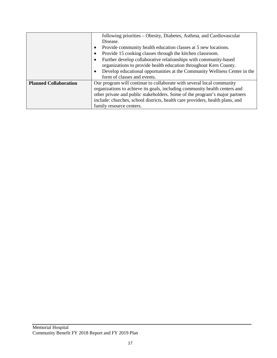|                              | following priorities – Obesity, Diabetes, Asthma, and Cardiovascular                   |
|------------------------------|----------------------------------------------------------------------------------------|
|                              | Disease.                                                                               |
|                              | Provide community health education classes at 5 new locations.<br>$\bullet$            |
|                              | Provide 15 cooking classes through the kitchen classroom.<br>٠                         |
|                              | Further develop collaborative relationships with community-based<br>٠                  |
|                              | organizations to provide health education throughout Kern County.                      |
|                              | Develop educational opportunities at the Community Wellness Center in the<br>$\bullet$ |
|                              | form of classes and events.                                                            |
| <b>Planned Collaboration</b> | Our program will continue to collaborate with several local community                  |
|                              | organizations to achieve its goals, including community health centers and             |
|                              | other private and public stakeholders. Some of the program's major partners            |
|                              | include: churches, school districts, health care providers, health plans, and          |
|                              | family resource centers.                                                               |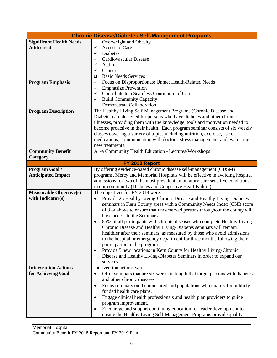| <b>Chronic Disease/Diabetes Self-Management Programs</b> |                                                                                                    |  |  |  |  |  |
|----------------------------------------------------------|----------------------------------------------------------------------------------------------------|--|--|--|--|--|
| <b>Significant Health Needs</b>                          | Overweight and Obesity<br>$\checkmark$                                                             |  |  |  |  |  |
| <b>Addressed</b>                                         | Access to Care<br>✓                                                                                |  |  |  |  |  |
|                                                          | <b>Diabetes</b><br>✓                                                                               |  |  |  |  |  |
|                                                          | Cardiovascular Disease<br>✓                                                                        |  |  |  |  |  |
|                                                          | Asthma<br>✓                                                                                        |  |  |  |  |  |
|                                                          | Cancer<br>✓                                                                                        |  |  |  |  |  |
|                                                          | <b>Basic Needs Services</b>                                                                        |  |  |  |  |  |
| <b>Program Emphasis</b>                                  | ❏<br>Focus on Disproportionate Unmet Health-Related Needs<br>✓                                     |  |  |  |  |  |
|                                                          | <b>Emphasize Prevention</b><br>✓                                                                   |  |  |  |  |  |
|                                                          |                                                                                                    |  |  |  |  |  |
|                                                          | Contribute to a Seamless Continuum of Care<br>✓                                                    |  |  |  |  |  |
|                                                          | <b>Build Community Capacity</b><br>✓                                                               |  |  |  |  |  |
|                                                          | Demonstrate Collaboration<br>✓                                                                     |  |  |  |  |  |
| <b>Program Description</b>                               | The Healthy Living Self-Management Programs (Chronic Disease and                                   |  |  |  |  |  |
|                                                          | Diabetes) are designed for persons who have diabetes and other chronic                             |  |  |  |  |  |
|                                                          | illnesses, providing them with the knowledge, tools and motivation needed to                       |  |  |  |  |  |
|                                                          | become proactive in their health. Each program seminar consists of six weekly                      |  |  |  |  |  |
|                                                          | classes covering a variety of topics including nutrition, exercise, use of                         |  |  |  |  |  |
|                                                          | medications, communicating with doctors, stress management, and evaluating                         |  |  |  |  |  |
|                                                          | new treatments.                                                                                    |  |  |  |  |  |
| <b>Community Benefit</b>                                 | A1-a Community Health Education - Lectures/Workshops                                               |  |  |  |  |  |
| Category                                                 |                                                                                                    |  |  |  |  |  |
|                                                          | FY 2018 Report                                                                                     |  |  |  |  |  |
| Program Goal /                                           | By offering evidence-based chronic disease self-management (CDSM)                                  |  |  |  |  |  |
| <b>Anticipated Impact</b>                                | programs, Mercy and Memorial Hospitals will be effective in avoiding hospital                      |  |  |  |  |  |
|                                                          | admissions for two of the most prevalent ambulatory care sensitive conditions                      |  |  |  |  |  |
|                                                          | in our community (Diabetes and Congestive Heart Failure).                                          |  |  |  |  |  |
| <b>Measurable Objective(s)</b>                           | The objectives for FY 2018 were:                                                                   |  |  |  |  |  |
| with Indicator(s)                                        | Provide 25 Healthy Living-Chronic Disease and Healthy Living-Diabetes<br>$\bullet$                 |  |  |  |  |  |
|                                                          | seminars in Kern County areas with a Community Needs Index (CNI) score                             |  |  |  |  |  |
|                                                          | of 3 or above to ensure that underserved persons throughout the county will                        |  |  |  |  |  |
|                                                          | have access to the Seminars.                                                                       |  |  |  |  |  |
|                                                          | 85% of all participants with chronic diseases who complete Healthy Living-                         |  |  |  |  |  |
|                                                          | Chronic Disease and Healthy Living-Diabetes seminars will remain                                   |  |  |  |  |  |
|                                                          |                                                                                                    |  |  |  |  |  |
|                                                          | healthier after their seminars, as measured by those who avoid admissions                          |  |  |  |  |  |
|                                                          | to the hospital or emergency department for three months following their                           |  |  |  |  |  |
|                                                          | participation in the program.<br>Provide 5 new locations in Kern County for Healthy Living-Chronic |  |  |  |  |  |
|                                                          | $\bullet$<br>Disease and Healthy Living-Diabetes Seminars in order to expand our                   |  |  |  |  |  |
|                                                          | services.                                                                                          |  |  |  |  |  |
|                                                          | Intervention actions were:                                                                         |  |  |  |  |  |
| <b>Intervention Actions</b>                              |                                                                                                    |  |  |  |  |  |
| for Achieving Goal                                       | Offer seminars that are six weeks in length that target persons with diabetes<br>$\bullet$         |  |  |  |  |  |
|                                                          | and other chronic diseases.                                                                        |  |  |  |  |  |
|                                                          | Focus seminars on the uninsured and populations who qualify for publicly<br>٠                      |  |  |  |  |  |
|                                                          | funded health care plans.                                                                          |  |  |  |  |  |
|                                                          | Engage clinical health professionals and health plan providers to guide<br>$\bullet$               |  |  |  |  |  |
|                                                          | program improvement.                                                                               |  |  |  |  |  |
|                                                          | Encourage and support continuing education for leader development to                               |  |  |  |  |  |
|                                                          | ensure the Healthy Living Self-Management Programs provide quality                                 |  |  |  |  |  |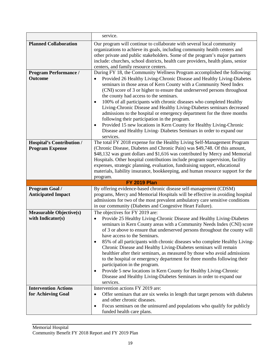|                                                     | service.                                                                                                     |  |  |  |  |
|-----------------------------------------------------|--------------------------------------------------------------------------------------------------------------|--|--|--|--|
| <b>Planned Collaboration</b>                        | Our program will continue to collaborate with several local community                                        |  |  |  |  |
|                                                     | organizations to achieve its goals, including community health centers and                                   |  |  |  |  |
|                                                     | other private and public stakeholders. Some of the program's major partners                                  |  |  |  |  |
|                                                     | include: churches, school districts, health care providers, health plans, senior                             |  |  |  |  |
|                                                     | centers, and family resource centers.                                                                        |  |  |  |  |
| <b>Program Performance /</b>                        | During FY 18, the Community Wellness Program accomplished the following:                                     |  |  |  |  |
| <b>Outcome</b>                                      | Provided 26 Healthy Living-Chronic Disease and Healthy Living-Diabetes                                       |  |  |  |  |
|                                                     | seminars in those areas of Kern County with a Community Need Index                                           |  |  |  |  |
|                                                     | (CNI) score of 3 or higher to ensure that underserved persons throughout                                     |  |  |  |  |
|                                                     | the county had access to the seminars.                                                                       |  |  |  |  |
|                                                     | 100% of all participants with chronic diseases who completed Healthy<br>$\bullet$                            |  |  |  |  |
|                                                     | Living-Chronic Disease and Healthy Living-Diabetes seminars decreased                                        |  |  |  |  |
|                                                     | admissions to the hospital or emergency department for the three months                                      |  |  |  |  |
|                                                     | following their participation in the program.                                                                |  |  |  |  |
|                                                     | Provided 15 new locations in Kern County for Healthy Living-Chronic<br>$\bullet$                             |  |  |  |  |
|                                                     | Disease and Healthy Living- Diabetes Seminars in order to expand our                                         |  |  |  |  |
|                                                     | services.                                                                                                    |  |  |  |  |
| <b>Hospital's Contribution /</b>                    | The total FY 2018 expense for the Healthy Living Self-Management Program                                     |  |  |  |  |
| <b>Program Expense</b>                              | (Chronic Disease, Diabetes and Chronic Pain) was \$49,748. Of this amount,                                   |  |  |  |  |
|                                                     | \$48,132 was grant dollars and \$1,616 was contributed by Mercy and Memorial                                 |  |  |  |  |
|                                                     | Hospitals. Other hospital contributions include program supervision, facility                                |  |  |  |  |
|                                                     | expenses, strategic planning, evaluation, fundraising support, educational                                   |  |  |  |  |
|                                                     | materials, liability insurance, bookkeeping, and human resource support for the                              |  |  |  |  |
|                                                     | program.                                                                                                     |  |  |  |  |
|                                                     | <b>FY 2019 Plan</b>                                                                                          |  |  |  |  |
| Program Goal /                                      | By offering evidence-based chronic disease self-management (CDSM)                                            |  |  |  |  |
|                                                     | programs, Mercy and Memorial Hospitals will be effective in avoiding hospital                                |  |  |  |  |
| <b>Anticipated Impact</b>                           | admissions for two of the most prevalent ambulatory care sensitive conditions                                |  |  |  |  |
|                                                     |                                                                                                              |  |  |  |  |
|                                                     | in our community (Diabetes and Congestive Heart Failure).                                                    |  |  |  |  |
|                                                     | The objectives for FY 2019 are:                                                                              |  |  |  |  |
| <b>Measurable Objective(s)</b><br>with Indicator(s) | $\bullet$                                                                                                    |  |  |  |  |
|                                                     | Provide 25 Healthy Living-Chronic Disease and Healthy Living-Diabetes                                        |  |  |  |  |
|                                                     | seminars in Kern County areas with a Community Needs Index (CNI) score                                       |  |  |  |  |
|                                                     | of 3 or above to ensure that underserved persons throughout the county will<br>have access to the Seminars.  |  |  |  |  |
|                                                     | $\bullet$                                                                                                    |  |  |  |  |
|                                                     | 85% of all participants with chronic diseases who complete Healthy Living-                                   |  |  |  |  |
|                                                     | Chronic Disease and Healthy Living-Diabetes seminars will remain                                             |  |  |  |  |
|                                                     | healthier after their seminars, as measured by those who avoid admissions                                    |  |  |  |  |
|                                                     | to the hospital or emergency department for three months following their<br>participation in the program.    |  |  |  |  |
|                                                     | ٠                                                                                                            |  |  |  |  |
|                                                     | Provide 5 new locations in Kern County for Healthy Living-Chronic                                            |  |  |  |  |
|                                                     | Disease and Healthy Living-Diabetes Seminars in order to expand our<br>services.                             |  |  |  |  |
| <b>Intervention Actions</b>                         | Intervention actions FY 2019 are:                                                                            |  |  |  |  |
| for Achieving Goal                                  | $\bullet$                                                                                                    |  |  |  |  |
|                                                     | Offer seminars that are six weeks in length that target persons with diabetes<br>and other chronic diseases. |  |  |  |  |
|                                                     | Focus seminars on the uninsured and populations who qualify for publicly<br>٠                                |  |  |  |  |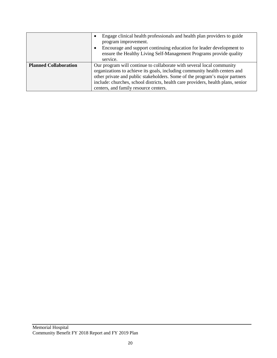|                              | Engage clinical health professionals and health plan providers to guide<br>$\bullet$<br>program improvement.<br>Encourage and support continuing education for leader development to<br>$\bullet$<br>ensure the Healthy Living Self-Management Programs provide quality<br>service.                                                                             |
|------------------------------|-----------------------------------------------------------------------------------------------------------------------------------------------------------------------------------------------------------------------------------------------------------------------------------------------------------------------------------------------------------------|
| <b>Planned Collaboration</b> | Our program will continue to collaborate with several local community<br>organizations to achieve its goals, including community health centers and<br>other private and public stakeholders. Some of the program's major partners<br>include: churches, school districts, health care providers, health plans, senior<br>centers, and family resource centers. |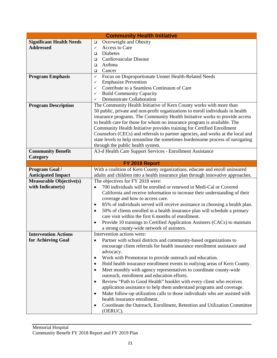| <b>Community Health Initiative</b>                 |                                                                                                                                                                |  |  |  |  |  |
|----------------------------------------------------|----------------------------------------------------------------------------------------------------------------------------------------------------------------|--|--|--|--|--|
| <b>Significant Health Needs</b>                    | Overweight and Obesity<br>❏                                                                                                                                    |  |  |  |  |  |
| <b>Addressed</b>                                   | Access to Care<br>$\checkmark$                                                                                                                                 |  |  |  |  |  |
|                                                    | Diabetes<br>□                                                                                                                                                  |  |  |  |  |  |
|                                                    | Cardiovascular Disease<br>□                                                                                                                                    |  |  |  |  |  |
|                                                    | Asthma<br>□                                                                                                                                                    |  |  |  |  |  |
|                                                    | Cancer<br>□                                                                                                                                                    |  |  |  |  |  |
| <b>Program Emphasis</b>                            | Focus on Disproportionate Unmet Health-Related Needs<br>$\checkmark$                                                                                           |  |  |  |  |  |
|                                                    | <b>Emphasize Prevention</b><br>✓                                                                                                                               |  |  |  |  |  |
|                                                    | Contribute to a Seamless Continuum of Care<br>✓                                                                                                                |  |  |  |  |  |
|                                                    | <b>Build Community Capacity</b><br>$\checkmark$                                                                                                                |  |  |  |  |  |
|                                                    | Demonstrate Collaboration<br>$\checkmark$                                                                                                                      |  |  |  |  |  |
| <b>Program Description</b>                         | The Community Health Initiative of Kern County works with more than                                                                                            |  |  |  |  |  |
|                                                    | 50 public, private and non-profit organizations to enroll individuals in health                                                                                |  |  |  |  |  |
|                                                    | insurance programs. The Community Health Initiative works to provide access                                                                                    |  |  |  |  |  |
|                                                    | to health care for those for whom no insurance program is available. The                                                                                       |  |  |  |  |  |
|                                                    | Community Health Initiative provides training for Certified Enrollment                                                                                         |  |  |  |  |  |
|                                                    | Counselors (CECs) and referrals to partner agencies, and works at the local and                                                                                |  |  |  |  |  |
|                                                    | state levels to help streamline the sometimes burdensome process of navigating                                                                                 |  |  |  |  |  |
| <b>Community Benefit</b>                           | through the public health system.                                                                                                                              |  |  |  |  |  |
|                                                    | A3-d Health Care Support Services - Enrollment Assistance                                                                                                      |  |  |  |  |  |
| Category                                           |                                                                                                                                                                |  |  |  |  |  |
|                                                    | FY 2018 Report                                                                                                                                                 |  |  |  |  |  |
| <b>Program Goal /</b><br><b>Anticipated Impact</b> | With a coalition of Kern County organizations, educate and enroll uninsured<br>adults and children into a health insurance plan through innovative approaches. |  |  |  |  |  |
| <b>Measurable Objective(s)</b>                     | The objectives for FY 2018 were:                                                                                                                               |  |  |  |  |  |
| with Indicator(s)                                  |                                                                                                                                                                |  |  |  |  |  |
|                                                    | 700 individuals will be enrolled or renewed in Medi-Cal or Covered                                                                                             |  |  |  |  |  |
|                                                    | California and receive information to increase their understanding of their                                                                                    |  |  |  |  |  |
|                                                    | coverage and how to access care.                                                                                                                               |  |  |  |  |  |
|                                                    | 85% of individuals served will receive assistance in choosing a health plan.<br>٠                                                                              |  |  |  |  |  |
|                                                    | 50% of clients enrolled in a health insurance plan will schedule a primary<br>$\bullet$<br>care visit within the first 6 months of enrollment.                 |  |  |  |  |  |
|                                                    |                                                                                                                                                                |  |  |  |  |  |
|                                                    | Provide 10 trainings to Certified Application Assisters (CACs) to maintain<br>٠<br>a strong county-wide network of assisters.                                  |  |  |  |  |  |
| <b>Intervention Actions</b>                        | Intervention actions were:                                                                                                                                     |  |  |  |  |  |
| for Achieving Goal                                 | Partner with school districts and community-based organizations to<br>$\bullet$                                                                                |  |  |  |  |  |
|                                                    | encourage client referrals for health insurance enrollment assistance and                                                                                      |  |  |  |  |  |
|                                                    | advocacy.                                                                                                                                                      |  |  |  |  |  |
|                                                    | Work with Promotoras to provide outreach and education.<br>٠                                                                                                   |  |  |  |  |  |
|                                                    | Hold health insurance enrollment events in outlying areas of Kern County.<br>$\bullet$                                                                         |  |  |  |  |  |
|                                                    | Meet monthly with agency representatives to coordinate county-wide<br>$\bullet$                                                                                |  |  |  |  |  |
|                                                    | outreach, enrollment and education efforts.                                                                                                                    |  |  |  |  |  |
|                                                    | Review "Path to Good Health" booklet with every client who receives<br>$\bullet$                                                                               |  |  |  |  |  |
|                                                    | application assistance to help them understand programs and coverage.                                                                                          |  |  |  |  |  |
|                                                    | Make follow-up utilization calls to those individuals who are assisted with<br>$\bullet$                                                                       |  |  |  |  |  |
|                                                    | health insurance enrollment.                                                                                                                                   |  |  |  |  |  |
|                                                    | Coordinate the Outreach, Enrollment, Retention and Utilization Committee                                                                                       |  |  |  |  |  |
|                                                    | ٠<br>(OERUC).                                                                                                                                                  |  |  |  |  |  |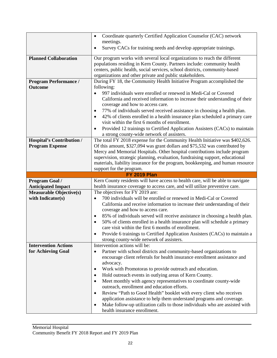|                                | Coordinate quarterly Certified Application Counselor (CAC) network<br>$\bullet$                                                                                   |  |  |  |  |
|--------------------------------|-------------------------------------------------------------------------------------------------------------------------------------------------------------------|--|--|--|--|
|                                | meetings.                                                                                                                                                         |  |  |  |  |
|                                | Survey CACs for training needs and develop appropriate trainings.<br>٠                                                                                            |  |  |  |  |
| <b>Planned Collaboration</b>   | Our program works with several local organizations to reach the different                                                                                         |  |  |  |  |
|                                | populations residing in Kern County. Partners include: community health                                                                                           |  |  |  |  |
|                                | centers, public health, social services, school districts, community-based                                                                                        |  |  |  |  |
|                                | organizations and other private and public stakeholders.                                                                                                          |  |  |  |  |
| <b>Program Performance /</b>   | During FY 18, the Community Health Initiative Program accomplished the                                                                                            |  |  |  |  |
| <b>Outcome</b>                 | following:                                                                                                                                                        |  |  |  |  |
|                                | 997 individuals were enrolled or renewed in Medi-Cal or Covered<br>$\bullet$                                                                                      |  |  |  |  |
|                                | California and received information to increase their understanding of their                                                                                      |  |  |  |  |
|                                | coverage and how to access care.                                                                                                                                  |  |  |  |  |
|                                | 77% of individuals served received assistance in choosing a health plan.<br>٠                                                                                     |  |  |  |  |
|                                | 42% of clients enrolled in a health insurance plan scheduled a primary care<br>٠<br>visit within the first 6 months of enrollment.                                |  |  |  |  |
|                                | Provided 12 trainings to Certified Application Assisters (CACs) to maintain<br>$\bullet$                                                                          |  |  |  |  |
|                                | a strong county-wide network of assisters.                                                                                                                        |  |  |  |  |
| Hospital's Contribution /      | The total FY 2018 expense for the Community Health Initiative was \$402,626.                                                                                      |  |  |  |  |
| <b>Program Expense</b>         | Of this amount, \$327,094 was grant dollars and \$75,532 was contributed by                                                                                       |  |  |  |  |
|                                | Mercy and Memorial Hospitals. Other hospital contributions include program                                                                                        |  |  |  |  |
|                                | supervision, strategic planning, evaluation, fundraising support, educational                                                                                     |  |  |  |  |
|                                | materials, liability insurance for the program, bookkeeping, and human resource                                                                                   |  |  |  |  |
|                                | support for the program.                                                                                                                                          |  |  |  |  |
|                                | <b>FY 2019 Plan</b>                                                                                                                                               |  |  |  |  |
|                                |                                                                                                                                                                   |  |  |  |  |
| Program Goal /                 | Kern County residents will have access to health care, will be able to navigate                                                                                   |  |  |  |  |
| <b>Anticipated Impact</b>      | health insurance coverage to access care, and will utilize preventive care.                                                                                       |  |  |  |  |
| <b>Measurable Objective(s)</b> | The objectives for FY 2019 are:                                                                                                                                   |  |  |  |  |
| with Indicator(s)              | 700 individuals will be enrolled or renewed in Medi-Cal or Covered<br>$\bullet$                                                                                   |  |  |  |  |
|                                | California and receive information to increase their understanding of their                                                                                       |  |  |  |  |
|                                | coverage and how to access care.                                                                                                                                  |  |  |  |  |
|                                | 85% of individuals served will receive assistance in choosing a health plan.<br>٠<br>٠                                                                            |  |  |  |  |
|                                | 50% of clients enrolled in a health insurance plan will schedule a primary                                                                                        |  |  |  |  |
|                                | care visit within the first 6 months of enrollment.<br>٠                                                                                                          |  |  |  |  |
|                                | Provide 6 trainings to Certified Application Assisters (CACs) to maintain a<br>strong county-wide network of assisters.                                           |  |  |  |  |
| <b>Intervention Actions</b>    | Intervention actions will be:                                                                                                                                     |  |  |  |  |
| for Achieving Goal             | Partner with school districts and community-based organizations to<br>$\bullet$                                                                                   |  |  |  |  |
|                                | encourage client referrals for health insurance enrollment assistance and                                                                                         |  |  |  |  |
|                                | advocacy.                                                                                                                                                         |  |  |  |  |
|                                | Work with Promotoras to provide outreach and education.<br>$\bullet$                                                                                              |  |  |  |  |
|                                | Hold outreach events in outlying areas of Kern County.<br>٠                                                                                                       |  |  |  |  |
|                                | Meet monthly with agency representatives to coordinate county-wide<br>٠                                                                                           |  |  |  |  |
|                                | outreach, enrollment and education efforts.                                                                                                                       |  |  |  |  |
|                                | Review "Path to Good Health" booklet with every client who receives<br>٠                                                                                          |  |  |  |  |
|                                | application assistance to help them understand programs and coverage.<br>Make follow-up utilization calls to those individuals who are assisted with<br>$\bullet$ |  |  |  |  |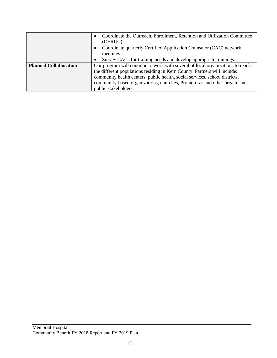|                              | Coordinate the Outreach, Enrollment, Retention and Utilization Committee<br>(OERUC).<br>Coordinate quarterly Certified Application Counselor (CAC) network<br>meetings. |  |  |  |  |  |
|------------------------------|-------------------------------------------------------------------------------------------------------------------------------------------------------------------------|--|--|--|--|--|
|                              | Survey CACs for training needs and develop appropriate trainings.                                                                                                       |  |  |  |  |  |
| <b>Planned Collaboration</b> | Our program will continue to work with several of local organizations to reach                                                                                          |  |  |  |  |  |
|                              | the different populations residing in Kern County. Partners will include:                                                                                               |  |  |  |  |  |
|                              | community health centers, public health, social services, school districts,                                                                                             |  |  |  |  |  |
|                              | community-based organizations, churches, Promotoras and other private and                                                                                               |  |  |  |  |  |
|                              | public stakeholders.                                                                                                                                                    |  |  |  |  |  |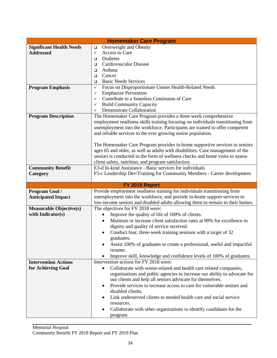| <b>Homemaker Care Program</b>   |                                                                                                                 |  |  |  |  |  |
|---------------------------------|-----------------------------------------------------------------------------------------------------------------|--|--|--|--|--|
| <b>Significant Health Needs</b> | Overweight and Obesity<br>$\Box$                                                                                |  |  |  |  |  |
| <b>Addressed</b>                | Access to Care<br>$\checkmark$                                                                                  |  |  |  |  |  |
|                                 | Diabetes<br>$\Box$                                                                                              |  |  |  |  |  |
|                                 | Cardiovascular Disease<br>□                                                                                     |  |  |  |  |  |
|                                 | Asthma<br>□<br>$\Box$                                                                                           |  |  |  |  |  |
|                                 | Cancer                                                                                                          |  |  |  |  |  |
|                                 | <b>Basic Needs Services</b><br>$\Box$                                                                           |  |  |  |  |  |
| <b>Program Emphasis</b>         | Focus on Disproportionate Unmet Health-Related Needs<br>✓                                                       |  |  |  |  |  |
|                                 | <b>Emphasize Prevention</b><br>✓                                                                                |  |  |  |  |  |
|                                 | Contribute to a Seamless Continuum of Care<br>✓                                                                 |  |  |  |  |  |
|                                 | <b>Build Community Capacity</b><br>✓                                                                            |  |  |  |  |  |
|                                 | Demonstrate Collaboration<br>$\checkmark$                                                                       |  |  |  |  |  |
| <b>Program Description</b>      | The Homemaker Care Program provides a three-week comprehensive                                                  |  |  |  |  |  |
|                                 | employment readiness skills training focusing on individuals transitioning from                                 |  |  |  |  |  |
|                                 | unemployment into the workforce. Participants are trained to offer competent                                    |  |  |  |  |  |
|                                 | and reliable services to the ever growing senior population.                                                    |  |  |  |  |  |
|                                 |                                                                                                                 |  |  |  |  |  |
|                                 | The Homemaker Care Program provides in-home supportive services to seniors                                      |  |  |  |  |  |
|                                 | ages 65 and older, as well as adults with disabilities. Case management of the                                  |  |  |  |  |  |
|                                 | seniors is conducted in the form of wellness checks and home visits to assess                                   |  |  |  |  |  |
| <b>Community Benefit</b>        | client safety, nutrition, and program satisfaction.<br>E3-d In-kind Assistance - Basic services for individuals |  |  |  |  |  |
| Category                        | F5-c Leadership Dev/Training for Community Members - Career development                                         |  |  |  |  |  |
|                                 |                                                                                                                 |  |  |  |  |  |
|                                 | FY 2018 Report                                                                                                  |  |  |  |  |  |
| Program Goal /                  | Provide employment readiness training for individuals transitioning from                                        |  |  |  |  |  |
| <b>Anticipated Impact</b>       | unemployment into the workforce, and provide in-home support services to                                        |  |  |  |  |  |
|                                 | low-income seniors and disabled adults allowing them to remain in their homes.                                  |  |  |  |  |  |
| <b>Measurable Objective(s)</b>  | The objectives for FY 2018 were:                                                                                |  |  |  |  |  |
| with Indicator(s)               | Improve the quality of life of 100% of clients.<br>$\bullet$                                                    |  |  |  |  |  |
|                                 | Maintain or increase client satisfaction rates at 90% for excellence in<br>$\bullet$                            |  |  |  |  |  |
|                                 | dignity and quality of service received.                                                                        |  |  |  |  |  |
|                                 | Conduct four, three-week training sessions with a target of 32                                                  |  |  |  |  |  |
|                                 | graduates.                                                                                                      |  |  |  |  |  |
|                                 | Assist 100% of graduates to create a professional, useful and impactful                                         |  |  |  |  |  |
|                                 | resume.                                                                                                         |  |  |  |  |  |
|                                 | Improve skill, knowledge and confidence levels of 100% of graduates.<br>$\bullet$                               |  |  |  |  |  |
| <b>Intervention Actions</b>     | Intervention actions for FY 2018 were:                                                                          |  |  |  |  |  |
| for Achieving Goal              | Collaborate with senior-related and health care related companies,                                              |  |  |  |  |  |
|                                 | organizations and public agencies to increase our ability to advocate for                                       |  |  |  |  |  |
|                                 | our clients and help all seniors advocate for themselves.                                                       |  |  |  |  |  |
|                                 | Provide services to increase access to care for vulnerable seniors and<br>$\bullet$                             |  |  |  |  |  |
|                                 | disabled clients.                                                                                               |  |  |  |  |  |
|                                 | Link underserved clients to needed health care and social service                                               |  |  |  |  |  |
|                                 | resources.                                                                                                      |  |  |  |  |  |
|                                 | Collaborate with other organizations to identify candidates for the                                             |  |  |  |  |  |
|                                 | program.                                                                                                        |  |  |  |  |  |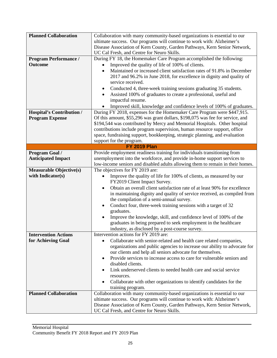| <b>Planned Collaboration</b>     | Collaboration with many community-based organizations is essential to our                                                                             |  |  |  |  |  |
|----------------------------------|-------------------------------------------------------------------------------------------------------------------------------------------------------|--|--|--|--|--|
|                                  | ultimate success. Our programs will continue to work with: Alzheimer's                                                                                |  |  |  |  |  |
|                                  | Disease Association of Kern County, Garden Pathways, Kern Senior Network,                                                                             |  |  |  |  |  |
|                                  | UC Cal Fresh, and Centre for Neuro Skills.                                                                                                            |  |  |  |  |  |
| <b>Program Performance /</b>     | During FY 18, the Homemaker Care Program accomplished the following:                                                                                  |  |  |  |  |  |
| <b>Outcome</b>                   | Improved the quality of life of 100% of clients.                                                                                                      |  |  |  |  |  |
|                                  | Maintained or increased client satisfaction rates of 91.8% in December<br>$\bullet$                                                                   |  |  |  |  |  |
|                                  | 2017 and 96.2% in June 2018, for excellence in dignity and quality of                                                                                 |  |  |  |  |  |
|                                  | service received.                                                                                                                                     |  |  |  |  |  |
|                                  | Conducted 4, three-week training sessions graduating 35 students.<br>٠                                                                                |  |  |  |  |  |
|                                  | Assisted 100% of graduates to create a professional, useful and                                                                                       |  |  |  |  |  |
|                                  | impactful resume.                                                                                                                                     |  |  |  |  |  |
|                                  | Improved skill, knowledge and confidence levels of 100% of graduates.                                                                                 |  |  |  |  |  |
| <b>Hospital's Contribution /</b> | During FY 2018, expenses for the Homemaker Care Program were \$447,915.                                                                               |  |  |  |  |  |
| <b>Program Expense</b>           | Of this amount, \$55,296 was grant dollars, \$198,075 was fee for service, and                                                                        |  |  |  |  |  |
|                                  | \$194,544 was contributed by Mercy and Memorial Hospitals. Other hospital                                                                             |  |  |  |  |  |
|                                  | contributions include program supervision, human resource support, office                                                                             |  |  |  |  |  |
|                                  | space, fundraising support, bookkeeping, strategic planning, and evaluation                                                                           |  |  |  |  |  |
|                                  | support for the program.                                                                                                                              |  |  |  |  |  |
|                                  | <b>FY 2019 Plan</b>                                                                                                                                   |  |  |  |  |  |
| Program Goal /                   | Provide employment readiness training for individuals transitioning from                                                                              |  |  |  |  |  |
| <b>Anticipated Impact</b>        | unemployment into the workforce, and provide in-home support services to                                                                              |  |  |  |  |  |
|                                  | low-income seniors and disabled adults allowing them to remain in their homes.                                                                        |  |  |  |  |  |
| <b>Measurable Objective(s)</b>   | The objectives for FY 2019 are:                                                                                                                       |  |  |  |  |  |
| with Indicator(s)                | Improve the quality of life for 100% of clients, as measured by our                                                                                   |  |  |  |  |  |
|                                  | FY2019 Client Impact Survey.                                                                                                                          |  |  |  |  |  |
|                                  | Obtain an overall client satisfaction rate of at least 90% for excellence<br>in maintaining dignity and quality of service received, as compiled from |  |  |  |  |  |
|                                  |                                                                                                                                                       |  |  |  |  |  |
|                                  | the compilation of a semi-annual survey.                                                                                                              |  |  |  |  |  |
|                                  | Conduct four, three-week training sessions with a target of 32<br>graduates.                                                                          |  |  |  |  |  |
|                                  |                                                                                                                                                       |  |  |  |  |  |
|                                  | Improve the knowledge, skill, and confidence level of 100% of the<br>graduates in being prepared to seek employment in the healthcare                 |  |  |  |  |  |
|                                  | industry, as disclosed by a post-course survey.                                                                                                       |  |  |  |  |  |
| <b>Intervention Actions</b>      | Intervention actions for FY 2019 are:                                                                                                                 |  |  |  |  |  |
| for Achieving Goal               | Collaborate with senior-related and health care related companies,                                                                                    |  |  |  |  |  |
|                                  | organizations and public agencies to increase our ability to advocate for                                                                             |  |  |  |  |  |
|                                  | our clients and help all seniors advocate for themselves.                                                                                             |  |  |  |  |  |
|                                  | Provide services to increase access to care for vulnerable seniors and<br>٠                                                                           |  |  |  |  |  |
|                                  | disabled clients.                                                                                                                                     |  |  |  |  |  |
|                                  | Link underserved clients to needed health care and social service                                                                                     |  |  |  |  |  |
|                                  | resources.                                                                                                                                            |  |  |  |  |  |
|                                  | Collaborate with other organizations to identify candidates for the                                                                                   |  |  |  |  |  |
|                                  | training program.                                                                                                                                     |  |  |  |  |  |
| <b>Planned Collaboration</b>     | Collaboration with many community-based organizations is essential to our                                                                             |  |  |  |  |  |
|                                  | ultimate success. Our programs will continue to work with: Alzheimer's                                                                                |  |  |  |  |  |
|                                  | Disease Association of Kern County, Garden Pathways, Kern Senior Network,                                                                             |  |  |  |  |  |
|                                  | UC Cal Fresh, and Centre for Neuro Skills.                                                                                                            |  |  |  |  |  |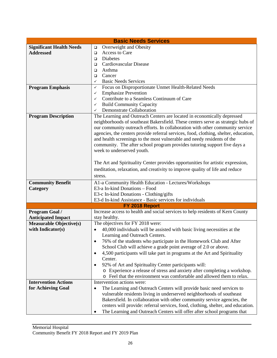| <b>Basic Needs Services</b>     |                                                                                                     |  |  |  |  |  |
|---------------------------------|-----------------------------------------------------------------------------------------------------|--|--|--|--|--|
| <b>Significant Health Needs</b> | Overweight and Obesity<br>$\Box$                                                                    |  |  |  |  |  |
| <b>Addressed</b>                | Access to Care<br>$\Box$                                                                            |  |  |  |  |  |
|                                 | Diabetes<br>$\Box$                                                                                  |  |  |  |  |  |
|                                 | Cardiovascular Disease<br>□                                                                         |  |  |  |  |  |
|                                 | Asthma<br>$\Box$                                                                                    |  |  |  |  |  |
|                                 | Cancer<br>□                                                                                         |  |  |  |  |  |
|                                 | <b>Basic Needs Services</b><br>$\checkmark$                                                         |  |  |  |  |  |
| <b>Program Emphasis</b>         | Focus on Disproportionate Unmet Health-Related Needs<br>✓                                           |  |  |  |  |  |
|                                 | <b>Emphasize Prevention</b><br>✓                                                                    |  |  |  |  |  |
|                                 | Contribute to a Seamless Continuum of Care<br>✓                                                     |  |  |  |  |  |
|                                 | <b>Build Community Capacity</b><br>$\checkmark$                                                     |  |  |  |  |  |
|                                 | Demonstrate Collaboration<br>$\checkmark$                                                           |  |  |  |  |  |
| <b>Program Description</b>      | The Learning and Outreach Centers are located in economically depressed                             |  |  |  |  |  |
|                                 | neighborhoods of southeast Bakersfield. These centers serve as strategic hubs of                    |  |  |  |  |  |
|                                 | our community outreach efforts. In collaboration with other community service                       |  |  |  |  |  |
|                                 | agencies, the centers provide referral services, food, clothing, shelter, education,                |  |  |  |  |  |
|                                 | and health screenings to the most vulnerable and needy residents of the                             |  |  |  |  |  |
|                                 | community. The after school program provides tutoring support five days a                           |  |  |  |  |  |
|                                 | week to underserved youth.                                                                          |  |  |  |  |  |
|                                 |                                                                                                     |  |  |  |  |  |
|                                 | The Art and Spirituality Center provides opportunities for artistic expression,                     |  |  |  |  |  |
|                                 | meditation, relaxation, and creativity to improve quality of life and reduce                        |  |  |  |  |  |
|                                 | stress.                                                                                             |  |  |  |  |  |
|                                 | A1-a Community Health Education - Lectures/Workshops                                                |  |  |  |  |  |
| <b>Community Benefit</b>        | E3-a In-kind Donations - Food                                                                       |  |  |  |  |  |
| Category                        |                                                                                                     |  |  |  |  |  |
|                                 | E3-c In-kind Donations - Clothing/gifts<br>E3-d In-kind Assistance - Basic services for individuals |  |  |  |  |  |
|                                 | FY 2018 Report                                                                                      |  |  |  |  |  |
| <b>Program Goal /</b>           | Increase access to health and social services to help residents of Kern County                      |  |  |  |  |  |
| <b>Anticipated Impact</b>       | stay healthy.                                                                                       |  |  |  |  |  |
| <b>Measurable Objective(s)</b>  | The objectives for FY 2018 were:                                                                    |  |  |  |  |  |
| with Indicator(s)               | 40,000 individuals will be assisted with basic living necessities at the<br>$\bullet$               |  |  |  |  |  |
|                                 | Learning and Outreach Centers.                                                                      |  |  |  |  |  |
|                                 |                                                                                                     |  |  |  |  |  |
|                                 | 76% of the students who participate in the Homework Club and After                                  |  |  |  |  |  |
|                                 | School Club will achieve a grade point average of 2.0 or above.                                     |  |  |  |  |  |
|                                 | 4,500 participants will take part in programs at the Art and Spirituality<br>$\bullet$              |  |  |  |  |  |
|                                 | Center.                                                                                             |  |  |  |  |  |
|                                 | 92% of Art and Spirituality Center participants will:                                               |  |  |  |  |  |
|                                 | o Experience a release of stress and anxiety after completing a workshop.                           |  |  |  |  |  |
|                                 | o Feel that the environment was comfortable and allowed them to relax.                              |  |  |  |  |  |
| <b>Intervention Actions</b>     | Intervention actions were:                                                                          |  |  |  |  |  |
| for Achieving Goal              | The Learning and Outreach Centers will provide basic need services to<br>$\bullet$                  |  |  |  |  |  |
|                                 | vulnerable residents living in underserved neighborhoods of southeast                               |  |  |  |  |  |
|                                 | Bakersfield. In collaboration with other community service agencies, the                            |  |  |  |  |  |
|                                 | centers will provide: referral services, food, clothing, shelter, and education.                    |  |  |  |  |  |
|                                 | The Learning and Outreach Centers will offer after school programs that<br>٠                        |  |  |  |  |  |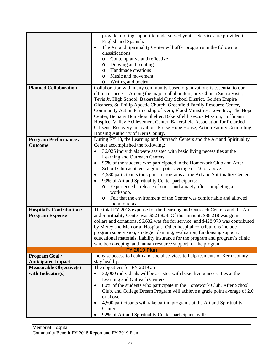|                                  | provide tutoring support to underserved youth. Services are provided in                                          |  |  |  |  |  |
|----------------------------------|------------------------------------------------------------------------------------------------------------------|--|--|--|--|--|
|                                  | English and Spanish.                                                                                             |  |  |  |  |  |
|                                  | The Art and Spirituality Center will offer programs in the following                                             |  |  |  |  |  |
|                                  | $\bullet$<br>classifications:                                                                                    |  |  |  |  |  |
|                                  | Contemplative and reflective                                                                                     |  |  |  |  |  |
|                                  | $\circ$<br>Drawing and painting                                                                                  |  |  |  |  |  |
|                                  | O<br>Handmade creations<br>$\circ$                                                                               |  |  |  |  |  |
|                                  | Music and movement<br>$\circ$                                                                                    |  |  |  |  |  |
|                                  | Writing and poetry                                                                                               |  |  |  |  |  |
| <b>Planned Collaboration</b>     | $\circ$<br>Collaboration with many community-based organizations is essential to our                             |  |  |  |  |  |
|                                  |                                                                                                                  |  |  |  |  |  |
|                                  | ultimate success. Among the major collaborators, are: Clinica Sierra Vista,                                      |  |  |  |  |  |
|                                  | Tevis Jr. High School, Bakersfield City School District, Golden Empire                                           |  |  |  |  |  |
|                                  | Gleaners, St. Philip Apostle Church, Greenfield Family Resource Center,                                          |  |  |  |  |  |
|                                  | Community Action Partnership of Kern, Flood Ministries, Love Inc., The Hope                                      |  |  |  |  |  |
|                                  | Center, Bethany Homeless Shelter, Bakersfield Rescue Mission, Hoffmann                                           |  |  |  |  |  |
|                                  | Hospice, Valley Achievement Center, Bakersfield Association for Retarded                                         |  |  |  |  |  |
|                                  | Citizens, Recovery Innovations Freise Hope House, Action Family Counseling,<br>Housing Authority of Kern County. |  |  |  |  |  |
| <b>Program Performance /</b>     | During FY 18, the Learning and Outreach Centers and the Art and Spirituality                                     |  |  |  |  |  |
| <b>Outcome</b>                   | Center accomplished the following:                                                                               |  |  |  |  |  |
|                                  | 36,025 individuals were assisted with basic living necessities at the<br>$\bullet$                               |  |  |  |  |  |
|                                  | Learning and Outreach Centers.                                                                                   |  |  |  |  |  |
|                                  | 95% of the students who participated in the Homework Club and After<br>$\bullet$                                 |  |  |  |  |  |
|                                  | School Club achieved a grade point average of 2.0 or above.                                                      |  |  |  |  |  |
|                                  | 4,530 participants took part in programs at the Art and Spirituality Center.<br>$\bullet$                        |  |  |  |  |  |
|                                  | 99% of Art and Spirituality Center participants:                                                                 |  |  |  |  |  |
|                                  | Experienced a release of stress and anxiety after completing a                                                   |  |  |  |  |  |
|                                  | workshop.                                                                                                        |  |  |  |  |  |
|                                  | Felt that the environment of the Center was comfortable and allowed<br>$\circ$                                   |  |  |  |  |  |
|                                  | them to relax.                                                                                                   |  |  |  |  |  |
| <b>Hospital's Contribution /</b> | The total FY 2018 expense for the Learning and Outreach Centers and the Art                                      |  |  |  |  |  |
| <b>Program Expense</b>           | and Spirituality Center was \$521,823. Of this amount, \$86,218 was grant                                        |  |  |  |  |  |
|                                  | dollars and donations, \$6,632 was fee for service, and \$428,973 was contributed                                |  |  |  |  |  |
|                                  | by Mercy and Memorial Hospitals. Other hospital contributions include                                            |  |  |  |  |  |
|                                  | program supervision, strategic planning, evaluation, fundraising support,                                        |  |  |  |  |  |
|                                  | educational materials, liability insurance for the program and program's clinic                                  |  |  |  |  |  |
|                                  | van, bookkeeping, and human resource support for the program.                                                    |  |  |  |  |  |
|                                  | <b>FY 2019 Plan</b>                                                                                              |  |  |  |  |  |
| Program Goal /                   | Increase access to health and social services to help residents of Kern County                                   |  |  |  |  |  |
| <b>Anticipated Impact</b>        | stay healthy.                                                                                                    |  |  |  |  |  |
| <b>Measurable Objective(s)</b>   | The objectives for FY 2019 are:                                                                                  |  |  |  |  |  |
| with Indicator(s)                | 32,000 individuals will be assisted with basic living necessities at the<br>$\bullet$                            |  |  |  |  |  |
|                                  | Learning and Outreach Centers.                                                                                   |  |  |  |  |  |
|                                  | 80% of the students who participate in the Homework Club, After School<br>$\bullet$                              |  |  |  |  |  |
|                                  | Club, and College Dream Program will achieve a grade point average of 2.0                                        |  |  |  |  |  |
|                                  | or above.                                                                                                        |  |  |  |  |  |
|                                  | 4,500 participants will take part in programs at the Art and Spirituality                                        |  |  |  |  |  |
|                                  | Center.                                                                                                          |  |  |  |  |  |
|                                  | 92% of Art and Spirituality Center participants will:                                                            |  |  |  |  |  |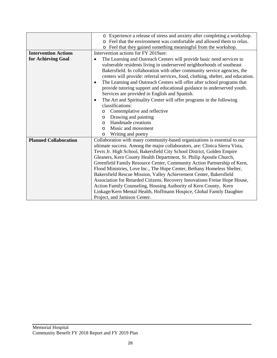|                              | o Experience a release of stress and anxiety after completing a workshop.            |  |  |  |  |  |
|------------------------------|--------------------------------------------------------------------------------------|--|--|--|--|--|
|                              | Feel that the environment was comfortable and allowed them to relax.                 |  |  |  |  |  |
|                              | o Feel that they gained something meaningful from the workshop.                      |  |  |  |  |  |
| <b>Intervention Actions</b>  | Intervention actions for FY 2019are:                                                 |  |  |  |  |  |
| for Achieving Goal           | The Learning and Outreach Centers will provide basic need services to                |  |  |  |  |  |
|                              | vulnerable residents living in underserved neighborhoods of southeast                |  |  |  |  |  |
|                              | Bakersfield. In collaboration with other community service agencies, the             |  |  |  |  |  |
|                              | centers will provide: referral services, food, clothing, shelter, and education.     |  |  |  |  |  |
|                              | The Learning and Outreach Centers will offer after school programs that<br>$\bullet$ |  |  |  |  |  |
|                              | provide tutoring support and educational guidance to underserved youth.              |  |  |  |  |  |
|                              | Services are provided in English and Spanish.                                        |  |  |  |  |  |
|                              | The Art and Spirituality Center will offer programs in the following<br>$\bullet$    |  |  |  |  |  |
|                              | classifications:                                                                     |  |  |  |  |  |
|                              | Contemplative and reflective<br>$\circ$                                              |  |  |  |  |  |
|                              | Drawing and painting<br>$\circ$                                                      |  |  |  |  |  |
|                              | Handmade creations<br>$\circ$                                                        |  |  |  |  |  |
|                              | Music and movement<br>$\Omega$                                                       |  |  |  |  |  |
|                              | Writing and poetry<br>$\circ$                                                        |  |  |  |  |  |
| <b>Planned Collaboration</b> | Collaboration with many community-based organizations is essential to our            |  |  |  |  |  |
|                              | ultimate success. Among the major collaborators, are: Clinica Sierra Vista,          |  |  |  |  |  |
|                              | Tevis Jr. High School, Bakersfield City School District, Golden Empire               |  |  |  |  |  |
|                              | Gleaners, Kern County Health Department, St. Philip Apostle Church,                  |  |  |  |  |  |
|                              | Greenfield Family Resource Center, Community Action Partnership of Kern,             |  |  |  |  |  |
|                              | Flood Ministries, Love Inc., The Hope Center, Bethany Homeless Shelter,              |  |  |  |  |  |
|                              | Bakersfield Rescue Mission, Valley Achievement Center, Bakersfield                   |  |  |  |  |  |
|                              | Association for Retarded Citizens, Recovery Innovations Freise Hope House,           |  |  |  |  |  |
|                              | Action Family Counseling, Housing Authority of Kern County, Kern                     |  |  |  |  |  |
|                              | Linkage/Kern Mental Health, Hoffmann Hospice, Global Family Daughter                 |  |  |  |  |  |
|                              | Project, and Jamison Center.                                                         |  |  |  |  |  |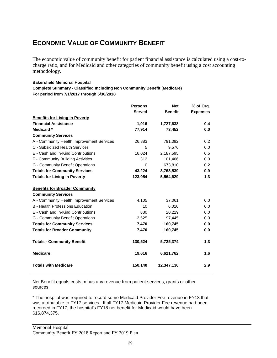# **ECONOMIC VALUE OF COMMUNITY BENEFIT**

The economic value of community benefit for patient financial assistance is calculated using a cost-tocharge ratio, and for Medicaid and other categories of community benefit using a cost accounting methodology.

#### **Bakersfield Memorial Hospital**

**Complete Summary - Classified Including Non Community Benefit (Medicare) For period from 7/1/2017 through 6/30/2018**

|                                           | <b>Persons</b>  | <b>Net</b>     | % of Org.       |
|-------------------------------------------|-----------------|----------------|-----------------|
|                                           | <b>Served</b>   | <b>Benefit</b> | <b>Expenses</b> |
| <b>Benefits for Living in Poverty</b>     |                 |                |                 |
| <b>Financial Assistance</b>               | 1,916           | 1,727,638      | 0.4             |
| Medicaid *                                | 77.914          | 73,452         | 0.0             |
| <b>Community Services</b>                 |                 |                |                 |
| A - Community Health Improvement Services | 26,883          | 791,092        | 0.2             |
| C - Subsidized Health Services            | 5               | 9,576          | 0.0             |
| E - Cash and In-Kind Contributions        | 16.024          | 2,187,595      | 0.5             |
| F - Community Building Activities         | 312             | 101,466        | 0.0             |
| G - Community Benefit Operations          | $\Omega$        | 673,810        | 0.2             |
| <b>Totals for Community Services</b>      | 43,224          | 3,763,539      | 0.9             |
| <b>Totals for Living in Poverty</b>       | 123,054         | 5,564,629      | 1.3             |
|                                           |                 |                |                 |
| <b>Benefits for Broader Community</b>     |                 |                |                 |
| <b>Community Services</b>                 |                 |                |                 |
| A - Community Health Improvement Services | 4,105           | 37.061         | 0.0             |
| <b>B</b> - Health Professions Education   | 10 <sup>1</sup> | 6,010          | 0.0             |
| E - Cash and In-Kind Contributions        | 830             | 20,229         | 0.0             |
| G - Community Benefit Operations          | 2,525           | 97,445         | 0.0             |
| <b>Totals for Community Services</b>      | 7,470           | 160,745        | 0.0             |
| <b>Totals for Broader Community</b>       | 7,470           | 160,745        | 0.0             |
|                                           |                 |                |                 |
| <b>Totals - Community Benefit</b>         | 130,524         | 5,725,374      | 1.3             |
| <b>Medicare</b>                           | 19,616          | 6,621,762      | 1.6             |
| <b>Totals with Medicare</b>               | 150,140         | 12,347,136     | 2.9             |

Net Benefit equals costs minus any revenue from patient services, grants or other sources.

\* The hospital was required to record some Medicaid Provider Fee revenue in FY18 that was attributable to FY17 services. If all FY17 Medicaid Provider Fee revenue had been recorded in FY17, the hospital's FY18 net benefit for Medicaid would have been \$16,874,375.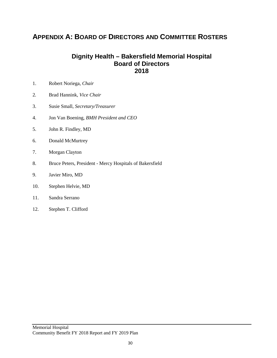### **APPENDIX A: BOARD OF DIRECTORS AND COMMITTEE ROSTERS**

### **Dignity Health – Bakersfield Memorial Hospital Board of Directors 2018**

- 1. Robert Noriega, *Chair*
- 2*.* Brad Hannink, *Vice Chair*
- 3. Susie Small, *Secretary/Treasurer*
- 4. Jon Van Boening, *BMH President and CEO*
- 5. John R. Findley, MD
- 6. Donald McMurtrey
- 7. Morgan Clayton
- 8. Bruce Peters, President Mercy Hospitals of Bakersfield
- 9. Javier Miro, MD
- 10. Stephen Helvie, MD
- 11. Sandra Serrano
- 12. Stephen T. Clifford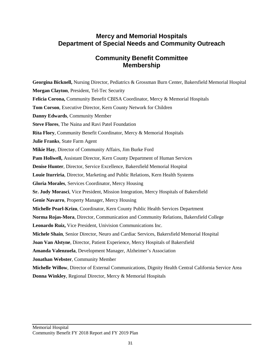### **Mercy and Memorial Hospitals Department of Special Needs and Community Outreach**

### **Community Benefit Committee Membership**

**Georgina Bicknell,** Nursing Director, Pediatrics & Grossman Burn Center, Bakersfield Memorial Hospital **Morgan Clayton**, President, Tel-Tec Security **Felicia Corona,** Community Benefit CBISA Coordinator, Mercy & Memorial Hospitals **Tom Corson**, Executive Director, Kern County Network for Children **Danny Edwards**, Community Member **Steve Flores**, The Naina and Ravi Patel Foundation **Rita Flory**, Community Benefit Coordinator, Mercy & Memorial Hospitals **Julie Franks**, State Farm Agent **Mikie Hay**, Director of Community Affairs, Jim Burke Ford **Pam Holiwell,** Assistant Director, Kern County Department of Human Services **Denise Hunter**, Director, Service Excellence, Bakersfield Memorial Hospital **Louie Iturriria**, Director, Marketing and Public Relations, Kern Health Systems **Gloria Morales**, Services Coordinator, Mercy Housing **Sr. Judy Morasci**, Vice President, Mission Integration, Mercy Hospitals of Bakersfield **Genie Navarro**, Property Manager, Mercy Housing **Michelle Pearl-Krizo**, Coordinator, Kern County Public Health Services Department **Norma Rojas-Mora**, Director, Communication and Community Relations, Bakersfield College **Leonardo Ruiz,** Vice President, Univision Communications Inc. **Michele Shain**, Senior Director, Neuro and Cardiac Services, Bakersfield Memorial Hospital **Joan Van Alstyne**, Director, Patient Experience, Mercy Hospitals of Bakersfield **Amanda Valenzuela**, Development Manager, Alzheimer's Association **Jonathan Webster**, Community Member **Michelle Willow**, Director of External Communications, Dignity Health Central California Service Area **Donna Winkley**, Regional Director, Mercy & Memorial Hospitals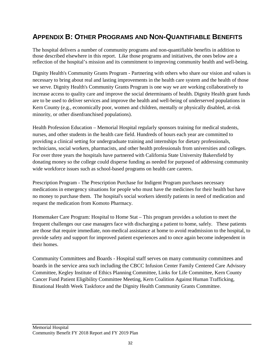# **APPENDIX B: OTHER PROGRAMS AND NON-QUANTIFIABLE BENEFITS**

The hospital delivers a number of community programs and non-quantifiable benefits in addition to those described elsewhere in this report. Like those programs and initiatives, the ones below are a reflection of the hospital's mission and its commitment to improving community health and well-being.

Dignity Health's Community Grants Program - Partnering with others who share our vision and values is necessary to bring about real and lasting improvements in the health care system and the health of those we serve. Dignity Health's Community Grants Program is one way we are working collaboratively to increase access to quality care and improve the social determinants of health. Dignity Health grant funds are to be used to deliver services and improve the health and well-being of underserved populations in Kern County (e.g., economically poor, women and children, mentally or physically disabled, at-risk minority, or other disenfranchised populations).

Health Profession Education – Memorial Hospital regularly sponsors training for medical students, nurses, and other students in the health care field. Hundreds of hours each year are committed to providing a clinical setting for undergraduate training and internships for dietary professionals, technicians, social workers, pharmacists, and other health professionals from universities and colleges. For over three years the hospitals have partnered with California State University Bakersfield by donating money so the college could disperse funding as needed for purposed of addressing community wide workforce issues such as school-based programs on health care careers.

Prescription Program - The Prescription Purchase for Indigent Program purchases necessary medications in emergency situations for people who must have the medicines for their health but have no money to purchase them. The hospital's social workers identify patients in need of medication and request the medication from Komoto Pharmacy.

Homemaker Care Program: Hospital to Home Stat – This program provides a solution to meet the frequent challenges our case managers face with discharging a patient to home, safely. These patients are those that require immediate, non-medical assistance at home to avoid readmission to the hospital, to provide safety and support for improved patient experiences and to once again become independent in their homes.

Community Committees and Boards - Hospital staff serves on many community committees and boards in the service area such including the CBCC Infusion Center Family Centered Care Advisory Committee, Kegley Institute of Ethics Planning Committee, Links for Life Committee, Kern County Cancer Fund Patient Eligibility Committee Meeting, Kern Coalition Against Human Trafficking, Binational Health Week Taskforce and the Dignity Health Community Grants Committee.